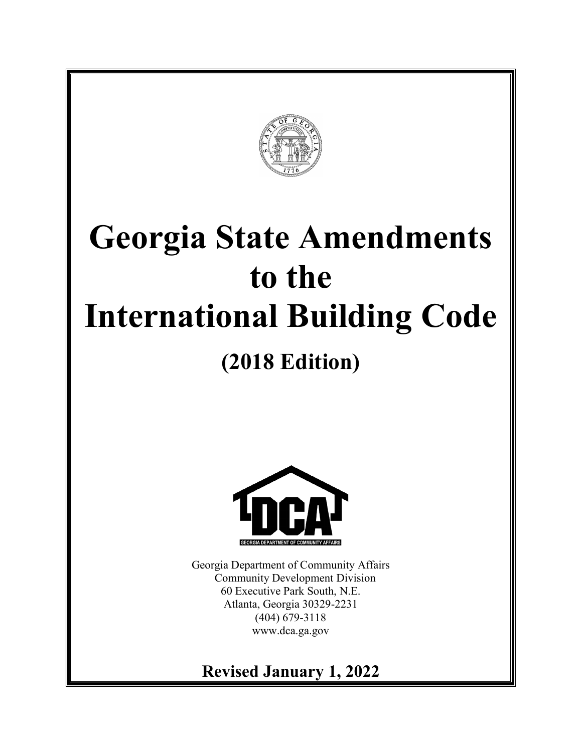

# **Georgia State Amendments to the International Building Code**

## **(2018 Edition)**



Georgia Department of Community Affairs Community Development Division 60 Executive Park South, N.E. Atlanta, Georgia 30329-2231 (404) 679-3118 www.dca.ga.gov

## **Revised January 1, 2022**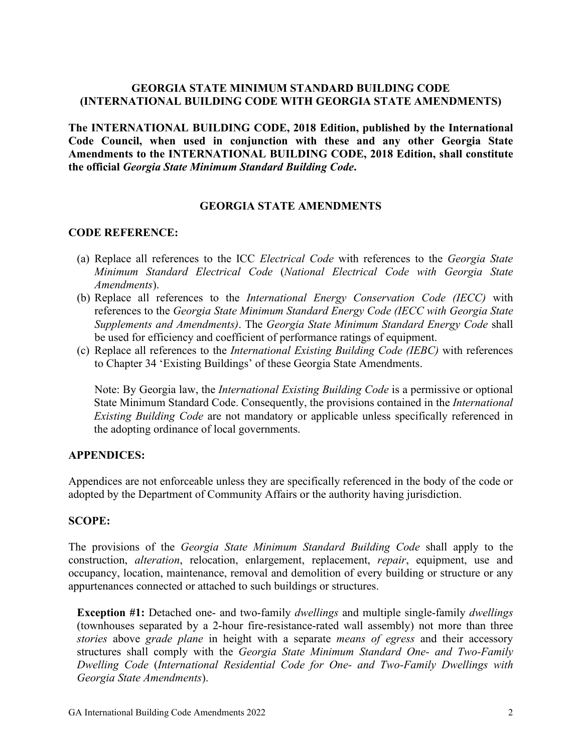#### **GEORGIA STATE MINIMUM STANDARD BUILDING CODE (INTERNATIONAL BUILDING CODE WITH GEORGIA STATE AMENDMENTS)**

**The INTERNATIONAL BUILDING CODE, 2018 Edition, published by the International Code Council, when used in conjunction with these and any other Georgia State Amendments to the INTERNATIONAL BUILDING CODE, 2018 Edition, shall constitute the official** *Georgia State Minimum Standard Building Code***.**

#### **GEORGIA STATE AMENDMENTS**

#### **CODE REFERENCE:**

- (a) Replace all references to the ICC *Electrical Code* with references to the *Georgia State Minimum Standard Electrical Code* (*National Electrical Code with Georgia State Amendments*).
- (b) Replace all references to the *International Energy Conservation Code (IECC)* with references to the *Georgia State Minimum Standard Energy Code (IECC with Georgia State Supplements and Amendments)*. The *Georgia State Minimum Standard Energy Code* shall be used for efficiency and coefficient of performance ratings of equipment.
- (c) Replace all references to the *International Existing Building Code (IEBC)* with references to Chapter 34 'Existing Buildings' of these Georgia State Amendments.

Note: By Georgia law, the *International Existing Building Code* is a permissive or optional State Minimum Standard Code. Consequently, the provisions contained in the *International Existing Building Code* are not mandatory or applicable unless specifically referenced in the adopting ordinance of local governments.

#### **APPENDICES:**

Appendices are not enforceable unless they are specifically referenced in the body of the code or adopted by the Department of Community Affairs or the authority having jurisdiction.

#### **SCOPE:**

The provisions of the *Georgia State Minimum Standard Building Code* shall apply to the construction, *alteration*, relocation, enlargement, replacement, *repair*, equipment, use and occupancy, location, maintenance, removal and demolition of every building or structure or any appurtenances connected or attached to such buildings or structures.

**Exception #1:** Detached one- and two-family *dwellings* and multiple single-family *dwellings* (townhouses separated by a 2-hour fire-resistance-rated wall assembly) not more than three *stories* above *grade plane* in height with a separate *means of egress* and their accessory structures shall comply with the *Georgia State Minimum Standard One- and Two-Family Dwelling Code* (*International Residential Code for One- and Two-Family Dwellings with Georgia State Amendments*).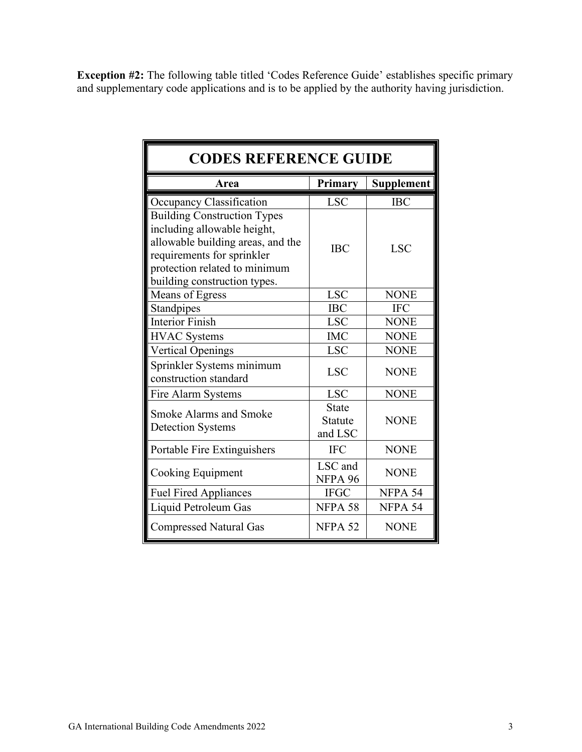**Exception #2:** The following table titled 'Codes Reference Guide' establishes specific primary and supplementary code applications and is to be applied by the authority having jurisdiction.

| <b>CODES REFERENCE GUIDE</b>                                                                                                                                                                          |                                           |             |
|-------------------------------------------------------------------------------------------------------------------------------------------------------------------------------------------------------|-------------------------------------------|-------------|
| Area                                                                                                                                                                                                  | Primary                                   | Supplement  |
| Occupancy Classification                                                                                                                                                                              | <b>LSC</b>                                | <b>IBC</b>  |
| <b>Building Construction Types</b><br>including allowable height,<br>allowable building areas, and the<br>requirements for sprinkler<br>protection related to minimum<br>building construction types. | <b>IBC</b>                                | <b>LSC</b>  |
| Means of Egress                                                                                                                                                                                       | <b>LSC</b>                                | <b>NONE</b> |
| Standpipes                                                                                                                                                                                            | <b>IBC</b>                                | <b>IFC</b>  |
| <b>Interior Finish</b>                                                                                                                                                                                | <b>LSC</b>                                | <b>NONE</b> |
| <b>HVAC</b> Systems                                                                                                                                                                                   | <b>IMC</b>                                | <b>NONE</b> |
| <b>Vertical Openings</b>                                                                                                                                                                              | <b>LSC</b>                                | <b>NONE</b> |
| Sprinkler Systems minimum<br>construction standard                                                                                                                                                    | <b>LSC</b>                                | <b>NONE</b> |
| Fire Alarm Systems                                                                                                                                                                                    | <b>LSC</b>                                | <b>NONE</b> |
| <b>Smoke Alarms and Smoke</b><br><b>Detection Systems</b>                                                                                                                                             | <b>State</b><br><b>Statute</b><br>and LSC | <b>NONE</b> |
| Portable Fire Extinguishers                                                                                                                                                                           | <b>IFC</b>                                | <b>NONE</b> |
| Cooking Equipment                                                                                                                                                                                     | LSC and<br>NFPA 96                        | <b>NONE</b> |
| <b>Fuel Fired Appliances</b>                                                                                                                                                                          | <b>IFGC</b>                               | NFPA 54     |
| Liquid Petroleum Gas                                                                                                                                                                                  | NFPA 58                                   | NFPA 54     |
| <b>Compressed Natural Gas</b>                                                                                                                                                                         | NFPA 52                                   | <b>NONE</b> |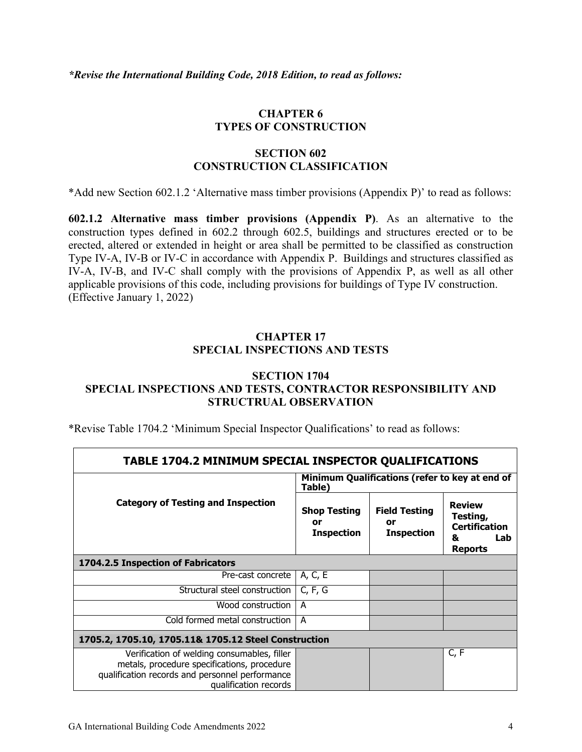#### **CHAPTER 6 TYPES OF CONSTRUCTION**

#### **SECTION 602 CONSTRUCTION CLASSIFICATION**

\*Add new Section 602.1.2 'Alternative mass timber provisions (Appendix P)' to read as follows:

**602.1.2 Alternative mass timber provisions (Appendix P)**. As an alternative to the construction types defined in 602.2 through 602.5, buildings and structures erected or to be erected, altered or extended in height or area shall be permitted to be classified as construction Type IV-A, IV-B or IV-C in accordance with Appendix P. Buildings and structures classified as IV-A, IV-B, and IV-C shall comply with the provisions of Appendix P, as well as all other applicable provisions of this code, including provisions for buildings of Type IV construction. (Effective January 1, 2022)

#### **CHAPTER 17 SPECIAL INSPECTIONS AND TESTS**

#### **SECTION 1704 SPECIAL INSPECTIONS AND TESTS, CONTRACTOR RESPONSIBILITY AND STRUCTRUAL OBSERVATION**

\*Revise Table 1704.2 'Minimum Special Inspector Qualifications' to read as follows:

| TABLE 1704.2 MINIMUM SPECIAL INSPECTOR QUALIFICATIONS                                                                                                                  |                                                |                                                 |                                                                                  |
|------------------------------------------------------------------------------------------------------------------------------------------------------------------------|------------------------------------------------|-------------------------------------------------|----------------------------------------------------------------------------------|
|                                                                                                                                                                        | Table)                                         | Minimum Qualifications (refer to key at end of  |                                                                                  |
| <b>Category of Testing and Inspection</b>                                                                                                                              | <b>Shop Testing</b><br>or<br><b>Inspection</b> | <b>Field Testing</b><br>or<br><b>Inspection</b> | <b>Review</b><br>Testing,<br><b>Certification</b><br>Lab<br>ĸ.<br><b>Reports</b> |
| 1704.2.5 Inspection of Fabricators                                                                                                                                     |                                                |                                                 |                                                                                  |
| Pre-cast concrete                                                                                                                                                      | A, C, E                                        |                                                 |                                                                                  |
| Structural steel construction                                                                                                                                          | C, F, G                                        |                                                 |                                                                                  |
| Wood construction                                                                                                                                                      | A                                              |                                                 |                                                                                  |
| Cold formed metal construction                                                                                                                                         | A                                              |                                                 |                                                                                  |
| 1705.2, 1705.10, 1705.11& 1705.12 Steel Construction                                                                                                                   |                                                |                                                 |                                                                                  |
| Verification of welding consumables, filler<br>metals, procedure specifications, procedure<br>qualification records and personnel performance<br>qualification records |                                                |                                                 | C, F                                                                             |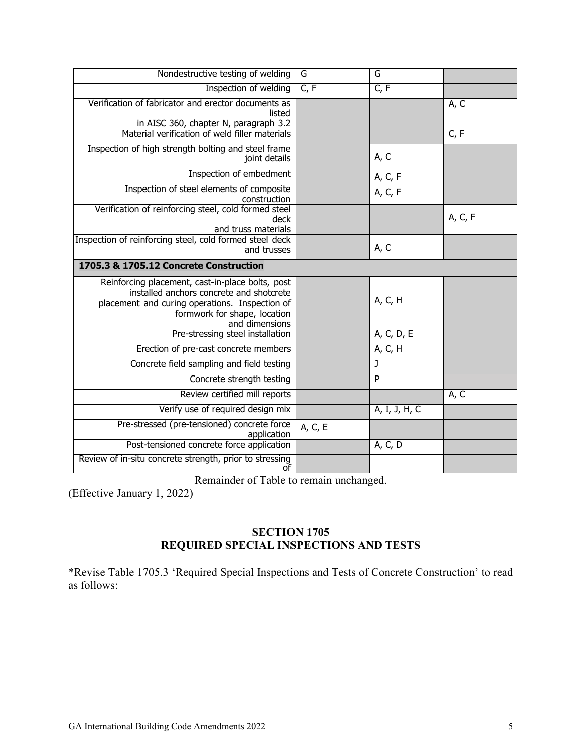| Nondestructive testing of welding                                                                                                                                                                | $\overline{G}$ | G              |         |
|--------------------------------------------------------------------------------------------------------------------------------------------------------------------------------------------------|----------------|----------------|---------|
| Inspection of welding                                                                                                                                                                            | C, F           | C, F           |         |
| Verification of fabricator and erector documents as<br>listed<br>in AISC 360, chapter N, paragraph 3.2                                                                                           |                |                | A, C    |
| Material verification of weld filler materials                                                                                                                                                   |                |                | C, F    |
| Inspection of high strength bolting and steel frame<br>joint details                                                                                                                             |                | A, C           |         |
| Inspection of embedment                                                                                                                                                                          |                | A, C, F        |         |
| Inspection of steel elements of composite<br>construction                                                                                                                                        |                | A, C, F        |         |
| Verification of reinforcing steel, cold formed steel<br>deck<br>and truss materials                                                                                                              |                |                | A, C, F |
| Inspection of reinforcing steel, cold formed steel deck<br>and trusses                                                                                                                           |                | A, C           |         |
| 1705.3 & 1705.12 Concrete Construction                                                                                                                                                           |                |                |         |
| Reinforcing placement, cast-in-place bolts, post<br>installed anchors concrete and shotcrete<br>placement and curing operations. Inspection of<br>formwork for shape, location<br>and dimensions |                | A, C, H        |         |
| Pre-stressing steel installation                                                                                                                                                                 |                | A, C, D, E     |         |
| Erection of pre-cast concrete members                                                                                                                                                            |                | A, C, H        |         |
| Concrete field sampling and field testing                                                                                                                                                        |                | J              |         |
| Concrete strength testing                                                                                                                                                                        |                | $\overline{P}$ |         |
| Review certified mill reports                                                                                                                                                                    |                |                | A, C    |
| Verify use of required design mix                                                                                                                                                                |                | A, I, J, H, C  |         |
| Pre-stressed (pre-tensioned) concrete force<br>application                                                                                                                                       | A, C, E        |                |         |
| Post-tensioned concrete force application                                                                                                                                                        |                | A, C, D        |         |
| Review of in-situ concrete strength, prior to stressing<br>οt                                                                                                                                    |                |                |         |

Remainder of Table to remain unchanged.

(Effective January 1, 2022)

#### **SECTION 1705 REQUIRED SPECIAL INSPECTIONS AND TESTS**

\*Revise Table 1705.3 'Required Special Inspections and Tests of Concrete Construction' to read as follows: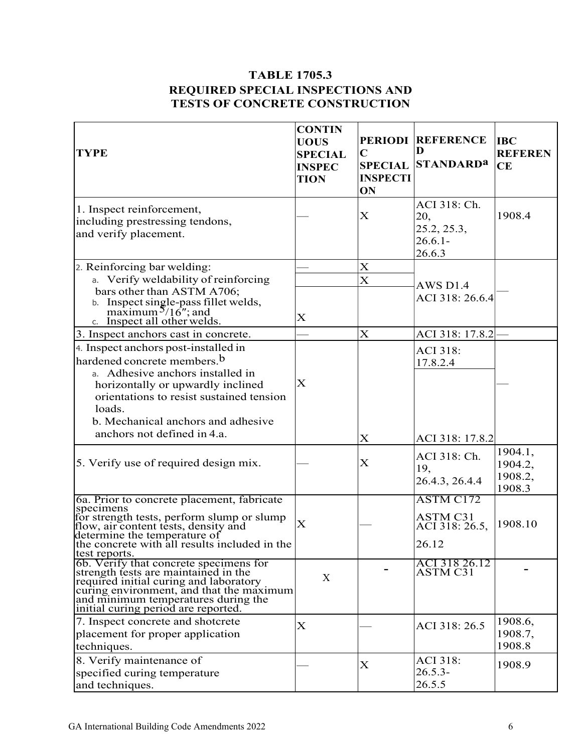#### **TABLE 1705.3 REQUIRED SPECIAL INSPECTIONS AND TESTS OF CONCRETE CONSTRUCTION**

| <b>TYPE</b>                                                                                                                                                                                                                                        | <b>CONTIN</b><br><b>UOUS</b><br><b>SPECIAL</b><br><b>INSPEC</b><br><b>TION</b> | $\mathbf C$<br><b>SPECIAL</b><br><b>INSPECTI</b><br>ON | <b>PERIODI REFERENCE</b><br>Ð<br><b>STANDARDa</b>          | <b>IBC</b><br><b>REFEREN</b><br>CE      |
|----------------------------------------------------------------------------------------------------------------------------------------------------------------------------------------------------------------------------------------------------|--------------------------------------------------------------------------------|--------------------------------------------------------|------------------------------------------------------------|-----------------------------------------|
| 1. Inspect reinforcement,<br>including prestressing tendons,<br>and verify placement.                                                                                                                                                              |                                                                                | X                                                      | ACI 318: Ch.<br>20,<br>25.2, 25.3,<br>$26.6.1 -$<br>26.6.3 | 1908.4                                  |
| 2. Reinforcing bar welding:                                                                                                                                                                                                                        |                                                                                | X                                                      |                                                            |                                         |
| a. Verify weldability of reinforcing                                                                                                                                                                                                               |                                                                                | $\overline{\mathbf{X}}$                                | <b>AWS D1.4</b>                                            |                                         |
| bars other than ASTM A706;<br>b. Inspect single-pass fillet welds,<br>maximum $5/16$ "; and<br>c. Inspect all other welds.                                                                                                                         | $\rm X$                                                                        |                                                        | ACI 318: 26.6.4                                            |                                         |
| 3. Inspect anchors cast in concrete.                                                                                                                                                                                                               |                                                                                | X                                                      | ACI 318: 17.8.2                                            |                                         |
| 4. Inspect anchors post-installed in<br>hardened concrete members. <sup>b</sup><br>a. Adhesive anchors installed in<br>horizontally or upwardly inclined<br>orientations to resist sustained tension<br>loads.                                     | X                                                                              |                                                        | <b>ACI 318:</b><br>17.8.2.4                                |                                         |
| b. Mechanical anchors and adhesive                                                                                                                                                                                                                 |                                                                                |                                                        |                                                            |                                         |
| anchors not defined in 4.a.                                                                                                                                                                                                                        |                                                                                | X                                                      | ACI 318: 17.8.2                                            |                                         |
| 5. Verify use of required design mix.                                                                                                                                                                                                              |                                                                                | X                                                      | ACI 318: Ch.<br>19,<br>26.4.3, 26.4.4                      | 1904.1,<br>1904.2,<br>1908.2,<br>1908.3 |
| 6a. Prior to concrete placement, fabricate<br>specimens<br>for strength tests, perform slump or slump<br>flow, air content tests, density and<br>determine the temperature of<br>the concrete with all results included in the<br>test reports.    | $\mathbf X$                                                                    |                                                        | ASTM C172<br><b>ASTM C31</b><br>ACI 318: 26.5,<br>26.12    | 1908.10                                 |
| 6b. Verify that concrete specimens for<br>strength tests are maintained in the<br>required initial curing and laboratory<br>curing environment, and that the maximum<br>and minimum temperatures during the<br>initial curing period are reported. | X                                                                              |                                                        | ACI 318 26.12<br>ASTM C31                                  |                                         |
| 7. Inspect concrete and shotcrete                                                                                                                                                                                                                  | X                                                                              |                                                        | ACI 318: 26.5                                              | 1908.6,                                 |
| placement for proper application<br>techniques.                                                                                                                                                                                                    |                                                                                |                                                        |                                                            | 1908.7,<br>1908.8                       |
| 8. Verify maintenance of<br>specified curing temperature<br>and techniques.                                                                                                                                                                        |                                                                                | $\boldsymbol{\mathrm{X}}$                              | <b>ACI 318:</b><br>$26.5.3-$<br>26.5.5                     | 1908.9                                  |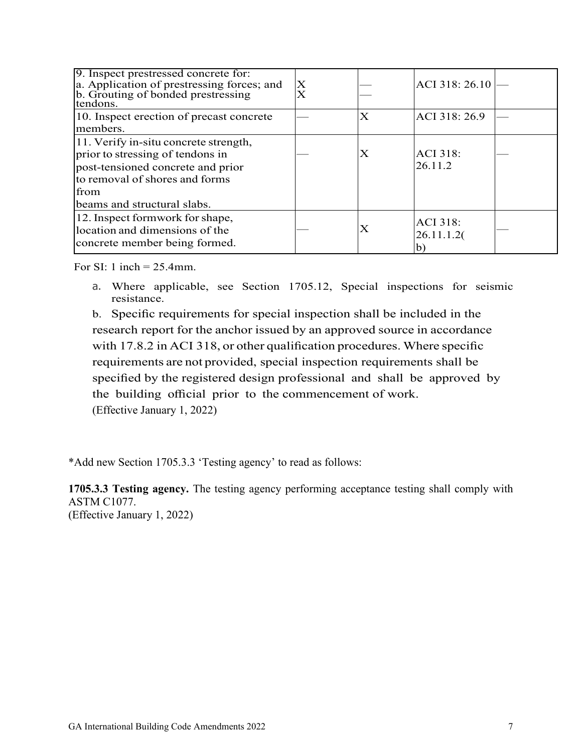| 9. Inspect prestressed concrete for:<br>a. Application of prestressing forces; and<br>b. Grouting of bonded prestressing<br>tendons.                                                    | Х<br>$\overline{\text{X}}$ |                       | ACI 318: 26.10                                |  |
|-----------------------------------------------------------------------------------------------------------------------------------------------------------------------------------------|----------------------------|-----------------------|-----------------------------------------------|--|
| 10. Inspect erection of precast concrete<br>members.                                                                                                                                    |                            | $\overline{\text{X}}$ | ACI 318:26.9                                  |  |
| 11. Verify in-situ concrete strength,<br>prior to stressing of tendons in<br>post-tensioned concrete and prior<br>to removal of shores and forms<br>from<br>beams and structural slabs. |                            | Χ                     | <b>ACI 318:</b><br>26.11.2                    |  |
| 12. Inspect formwork for shape,<br>location and dimensions of the<br>concrete member being formed.                                                                                      |                            | X                     | <b>ACI 318:</b><br>26.11.1.2(<br>$\mathbf{b}$ |  |

For SI: 1 inch = 25.4mm.

a. Where applicable, see Section [1705.12,](https://codes.iccsafe.org/#IBC2018P4_Ch17_Sec1705.12) Special inspections for seismic resistance.

b. Specific requirements for special inspection shall be included in the research report for the anchor issued by an [approved source in](https://codes.iccsafe.org/#IBC2018P4_Ch35_PromACI_RefStd318_14) accordance with 17.8.2 in [ACI 318, or other](https://codes.iccsafe.org/#IBC2018P4_Ch35_PromACI_RefStd318_14) qualification procedures. Where specific [requirements are](https://codes.iccsafe.org/#IBC2018P4_Ch35_PromACI_RefStd318_14) not provided, special inspection requirements shall be specified by the registered design professional and shall be approved by the building official prior to the commencement of work. (Effective January 1, 2022)

\*Add new Section 1705.3.3 'Testing agency' to read as follows:

**1705.3.3 Testing agency.** The testing agency performing acceptance testing shall comply with ASTM C1077.

(Effective January 1, 2022)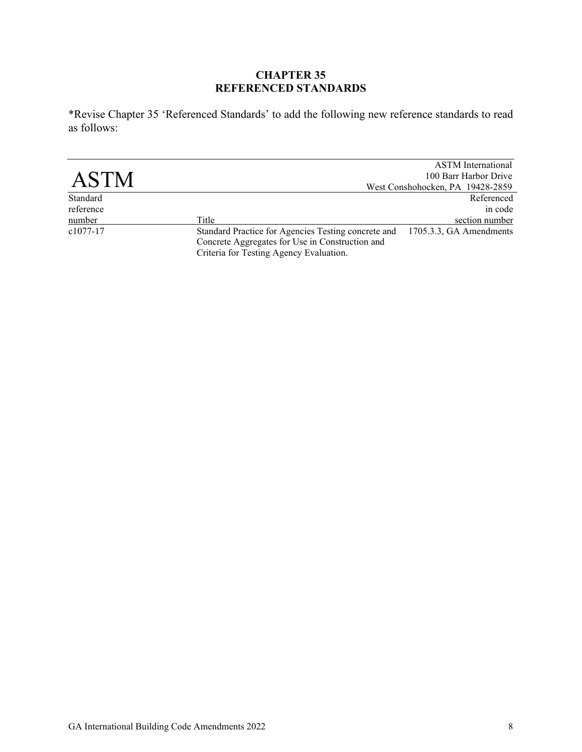#### **CHAPTER 35 REFERENCED STANDARDS**

\*Revise Chapter 35 'Referenced Standards' to add the following new reference standards to read as follows:

|             |                                                                                                                                                   | <b>ASTM</b> International        |
|-------------|---------------------------------------------------------------------------------------------------------------------------------------------------|----------------------------------|
| <b>ASTM</b> |                                                                                                                                                   | 100 Barr Harbor Drive            |
|             |                                                                                                                                                   | West Conshohocken, PA 19428-2859 |
| Standard    |                                                                                                                                                   | Referenced                       |
| reference   |                                                                                                                                                   | in code                          |
| number      | Title                                                                                                                                             | section number                   |
| $c1077-17$  | Standard Practice for Agencies Testing concrete and<br>Concrete Aggregates for Use in Construction and<br>Criteria for Testing Agency Evaluation. | 1705.3.3, GA Amendments          |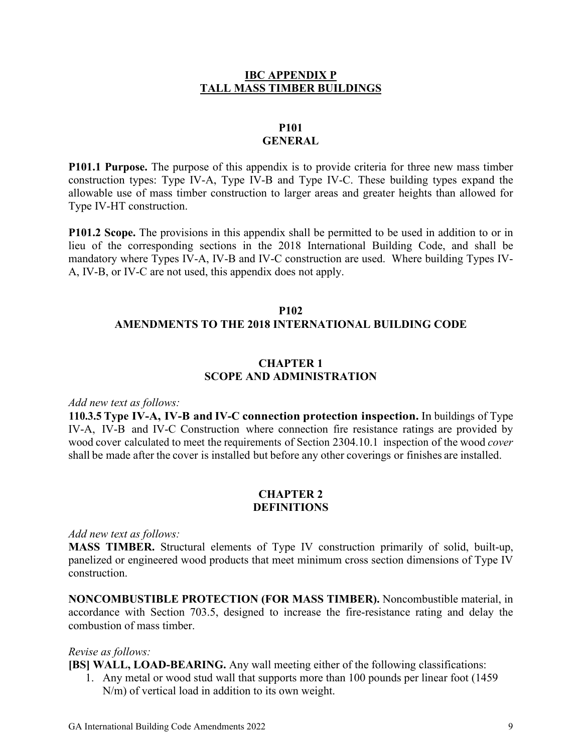#### **IBC APPENDIX P TALL MASS TIMBER BUILDINGS**

#### **P101 GENERAL**

**P101.1 Purpose.** The purpose of this appendix is to provide criteria for three new mass timber construction types: Type IV-A, Type IV-B and Type IV-C. These building types expand the allowable use of mass timber construction to larger areas and greater heights than allowed for Type IV-HT construction.

**P101.2 Scope.** The provisions in this appendix shall be permitted to be used in addition to or in lieu of the corresponding sections in the 2018 International Building Code, and shall be mandatory where Types IV-A, IV-B and IV-C construction are used. Where building Types IV-A, IV-B, or IV-C are not used, this appendix does not apply.

#### **P102**

#### **AMENDMENTS TO THE 2018 INTERNATIONAL BUILDING CODE**

#### **CHAPTER 1 SCOPE AND ADMINISTRATION**

#### *Add new text as follows:*

**110.3.5 Type IV-A, IV-B and IV-C connection protection inspection.** In buildings of Type IV-A, IV-B and IV-C Construction where connection fire resistance ratings are provided by wood cover calculated to meet the requirements of Section 2304.10.1 inspection of the wood *cover* shall be made after the cover is installed but before any other coverings or finishes are installed.

#### **CHAPTER 2 DEFINITIONS**

#### *Add new text as follows:*

**MASS TIMBER.** Structural elements of Type IV construction primarily of solid, built-up, panelized or engineered wood products that meet minimum cross section dimensions of Type IV construction.

**NONCOMBUSTIBLE PROTECTION (FOR MASS TIMBER).** Noncombustible material, in accordance with Section 703.5, designed to increase the fire-resistance rating and delay the combustion of mass timber.

#### *Revise as follows:*

**[BS] WALL, LOAD-BEARING.** Any wall meeting either of the following classifications:

1. Any metal or wood stud wall that supports more than 100 pounds per linear foot (1459 N/m) of vertical load in addition to its own weight.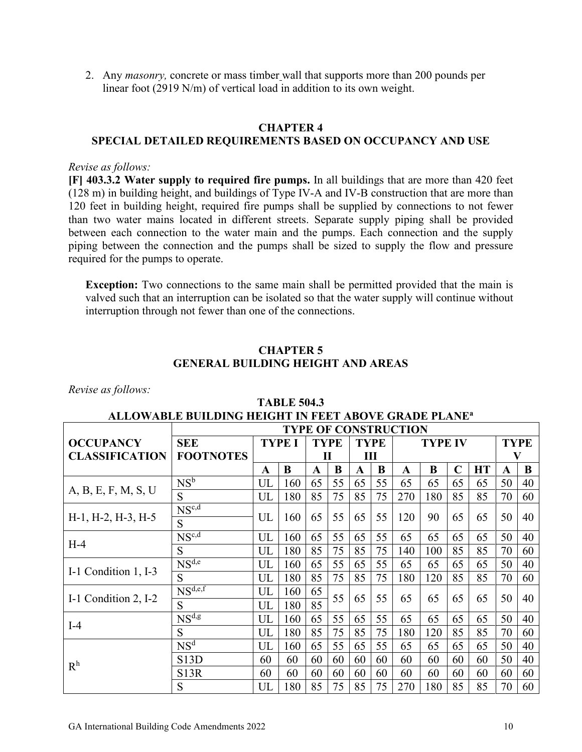2. Any *masonry,* concrete or mass timber wall that supports more than 200 pounds per linear foot (2919 N/m) of vertical load in addition to its own weight.

#### **CHAPTER 4**

#### **SPECIAL DETAILED REQUIREMENTS BASED ON OCCUPANCY AND USE**

#### *Revise as follows:*

**[F] 403.3.2 Water supply to required fire pumps.** In all buildings that are more than 420 feet (128 m) in building height, and buildings of Type IV-A and IV-B construction that are more than 120 feet in building height, required fire pumps shall be supplied by connections to not fewer than two water mains located in different streets. Separate supply piping shall be provided between each connection to the water main and the pumps. Each connection and the supply piping between the connection and the pumps shall be sized to supply the flow and pressure required for the pumps to operate.

**Exception:** Two connections to the same main shall be permitted provided that the main is valved such that an interruption can be isolated so that the water supply will continue without interruption through not fewer than one of the connections.

#### **CHAPTER 5 GENERAL BUILDING HEIGHT AND AREAS**

*Revise as follows:*

| ALLOWABLE BUILDING HEIGHT IN FEET ABOVE GRADE PLANE® |                         |    |               |             |    |             |    |                             |     |             |           |             |    |
|------------------------------------------------------|-------------------------|----|---------------|-------------|----|-------------|----|-----------------------------|-----|-------------|-----------|-------------|----|
|                                                      |                         |    |               |             |    |             |    | <b>TYPE OF CONSTRUCTION</b> |     |             |           |             |    |
| <b>OCCUPANCY</b>                                     | <b>SEE</b>              |    | <b>TYPE I</b> | <b>TYPE</b> |    | <b>TYPE</b> |    | <b>TYPE IV</b>              |     |             |           | <b>TYPE</b> |    |
| <b>CLASSIFICATION</b>                                | <b>FOOTNOTES</b>        |    |               | Ш<br>П      |    |             |    |                             |     |             |           | V           |    |
|                                                      |                         | A  | B             | A           | B  | A           | B  | $\mathbf{A}$                | B   | $\mathbf C$ | <b>HT</b> | A           | B  |
|                                                      | NS <sup>b</sup>         | UL | 160           | 65          | 55 | 65          | 55 | 65                          | 65  | 65          | 65        | 50          | 40 |
| A, B, E, F, M, S, U                                  | S                       | UL | 180           | 85          | 75 | 85          | 75 | 270                         | 180 | 85          | 85        | 70          | 60 |
|                                                      | $NS^{c,d}$              |    |               |             |    |             |    |                             |     |             |           |             |    |
| $H-1$ , $H-2$ , $H-3$ , $H-5$                        | S                       | UL | 160           | 65          | 55 | 65          | 55 | 120                         | 90  | 65          | 65        | 50          | 40 |
| $H-4$                                                | $NS^{c,d}$              | UL | 160           | 65          | 55 | 65          | 55 | 65                          | 65  | 65          | 65        | 50          | 40 |
|                                                      | S                       | UL | 180           | 85          | 75 | 85          | 75 | 140                         | 100 | 85          | 85        | 70          | 60 |
|                                                      | $N\overline{S^{d,e}}$   | UL | 160           | 65          | 55 | 65          | 55 | 65                          | 65  | 65          | 65        | 50          | 40 |
| I-1 Condition 1, I-3                                 | S                       | UL | 180           | 85          | 75 | 85          | 75 | 180                         | 120 | 85          | 85        | 70          | 60 |
|                                                      | $N\overline{S^{d,e,f}}$ | UL | 160           | 65          |    |             |    |                             |     |             |           |             |    |
| I-1 Condition 2, I-2                                 | S                       | UL | 180           | 85          | 55 | 65          | 55 | 65                          | 65  | 65          | 65        | 50          | 40 |
|                                                      | $NS^{d,g}$              | UL | 160           | 65          | 55 | 65          | 55 | 65                          | 65  | 65          | 65        | 50          | 40 |
| $I-4$                                                | S                       | UL | 180           | 85          | 75 | 85          | 75 | 180                         | 120 | 85          | 85        | 70          | 60 |
|                                                      | NS <sup>d</sup>         | UL | 160           | 65          | 55 | 65          | 55 | 65                          | 65  | 65          | 65        | 50          | 40 |
|                                                      | S13D                    | 60 | 60            | 60          | 60 | 60          | 60 | 60                          | 60  | 60          | 60        | 50          | 40 |
| R <sup>h</sup>                                       | <b>S13R</b>             | 60 | 60            | 60          | 60 | 60          | 60 | 60                          | 60  | 60          | 60        | 60          | 60 |
|                                                      | S                       | UL | 180           | 85          | 75 | 85          | 75 | 270                         | 180 | 85          | 85        | 70          | 60 |

#### **TABLE 504.3 ALLOWABLE BUILDING HEIGHT IN FEET ABOVE GRADE PLANEa**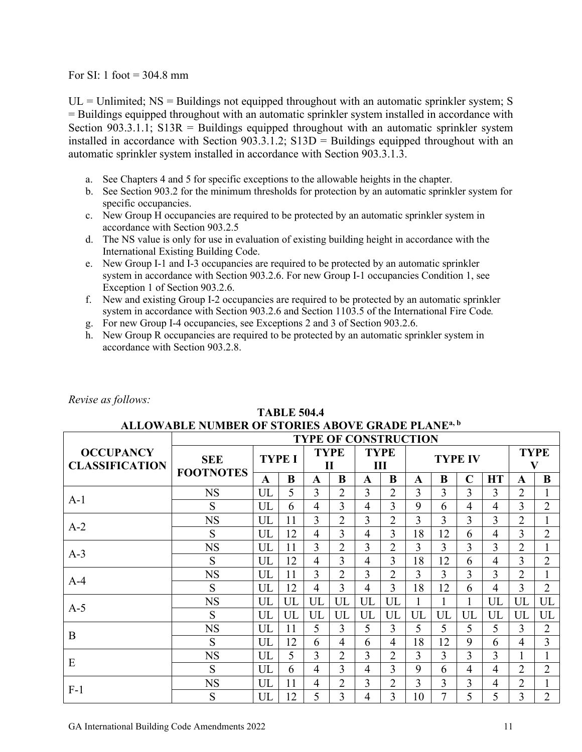For SI: 1 foot  $= 304.8$  mm

 $UL =$  Unlimited;  $NS =$  Buildings not equipped throughout with an automatic sprinkler system; S = Buildings equipped throughout with an automatic sprinkler system installed in accordance with Section 903.3.1.1;  $S13R =$  Buildings equipped throughout with an automatic sprinkler system installed in accordance with Section  $903.3.1.2$ ; S13D = Buildings equipped throughout with an automatic sprinkler system installed in accordance with Section 903.3.1.3.

- a. See Chapters 4 and 5 for specific exceptions to the allowable heights in the chapter.
- b. See Section 903.2 for the minimum thresholds for protection by an automatic sprinkler system for specific occupancies.
- c. New Group H occupancies are required to be protected by an automatic sprinkler system in accordance with Section 903.2.5
- d. The NS value is only for use in evaluation of existing building height in accordance with the International Existing Building Code.
- e. New Group I-1 and I-3 occupancies are required to be protected by an automatic sprinkler system in accordance with Section 903.2.6. For new Group I-1 occupancies Condition 1, see Exception 1 of Section 903.2.6.
- f. New and existing Group I-2 occupancies are required to be protected by an automatic sprinkler system in accordance with Section 903.2.6 and Section 1103.5 of the International Fire Code*.*
- g. For new Group I-4 occupancies, see Exceptions 2 and 3 of Section 903.2.6.
- h. New Group R occupancies are required to be protected by an automatic sprinkler system in accordance with Section 903.2.8.

**TABLE 504.4**

| ALLOWABLE NUMBER OF STORIES ABOVE GRADE PLANE <sup>a, b</sup> |                                |               |    |                             |                |                  |                |                |    |                |                |                                                                                                                                                              |                |
|---------------------------------------------------------------|--------------------------------|---------------|----|-----------------------------|----------------|------------------|----------------|----------------|----|----------------|----------------|--------------------------------------------------------------------------------------------------------------------------------------------------------------|----------------|
|                                                               | <b>TYPE OF CONSTRUCTION</b>    |               |    |                             |                |                  |                |                |    |                |                |                                                                                                                                                              |                |
| <b>OCCUPANCY</b><br><b>CLASSIFICATION</b>                     | <b>SEE</b><br><b>FOOTNOTES</b> | <b>TYPE I</b> |    | <b>TYPE</b><br>$\mathbf{I}$ |                | <b>TYPE</b><br>Ш |                | <b>TYPE IV</b> |    |                |                | <b>TYPE</b><br>V                                                                                                                                             |                |
|                                                               |                                | A             | B  | A                           | B              | A                | B              | A              | B  | $\mathbf C$    | <b>HT</b>      | A<br>$\overline{2}$<br>3<br>$\overline{2}$<br>3<br>$\overline{2}$<br>3<br>$\overline{2}$<br>3<br>UL<br>UL<br>3<br>4<br>1<br>$\overline{2}$<br>$\overline{2}$ | B              |
| $A-1$                                                         | <b>NS</b>                      | UL            | 5  | 3                           | $\overline{2}$ | 3                | $\overline{2}$ | 3              | 3  | $\overline{3}$ | $\overline{3}$ |                                                                                                                                                              | $\mathbf{1}$   |
|                                                               | S                              | UL            | 6  | 4                           | 3              | 4                | 3              | 9              | 6  | 4              | $\overline{4}$ |                                                                                                                                                              | $\overline{2}$ |
| $A-2$                                                         | <b>NS</b>                      | UL            | 11 | 3                           | $\overline{2}$ | 3                | $\overline{2}$ | 3              | 3  | 3              | 3              |                                                                                                                                                              | $\mathbf{1}$   |
|                                                               | S                              | UL            | 12 | $\overline{4}$              | 3              | 4                | 3              | 18             | 12 | 6              | $\overline{4}$ |                                                                                                                                                              | $\overline{2}$ |
| $A-3$                                                         | <b>NS</b>                      | UL            | 11 | 3                           | $\overline{2}$ | 3                | $\overline{2}$ | 3              | 3  | $\overline{3}$ | 3              |                                                                                                                                                              | $\mathbf{1}$   |
|                                                               | S                              | UL            | 12 | $\overline{4}$              | 3              | 4                | 3              | 18             | 12 | 6              | $\overline{4}$ |                                                                                                                                                              | $\overline{2}$ |
| $A-4$                                                         | <b>NS</b>                      | UL            | 11 | $\overline{3}$              | 2              | 3                | $\overline{2}$ | 3              | 3  | 3              | 3              |                                                                                                                                                              | $\mathbf{1}$   |
|                                                               | S                              | UL            | 12 | $\overline{4}$              | 3              | 4                | 3              | 18             | 12 | 6              | $\overline{4}$ |                                                                                                                                                              | $\overline{2}$ |
|                                                               | <b>NS</b>                      | UL            | UL | UL                          | UL             | UL               | UL             |                |    |                | UL             |                                                                                                                                                              | UL             |
| $A-5$                                                         | S                              | UL            | UL | UL                          | UL             | UL               | UL             | UL             | UL | UL             | UL             |                                                                                                                                                              | UL             |
| B                                                             | <b>NS</b>                      | UL            | 11 | 5                           | 3              | 5                | 3              | 5              | 5  | 5              | 5              |                                                                                                                                                              | $\overline{2}$ |
|                                                               | S                              | UL            | 12 | 6                           | $\overline{4}$ | 6                | 4              | 18             | 12 | 9              | 6              |                                                                                                                                                              | $\overline{3}$ |
| E                                                             | <b>NS</b>                      | UL            | 5  | 3                           | $\overline{2}$ | 3                | $\overline{2}$ | 3              | 3  | 3              | 3              |                                                                                                                                                              | $\mathbf{1}$   |
|                                                               | S                              | UL            | 6  | $\overline{4}$              | 3              | 4                | 3              | 9              | 6  | 4              | $\overline{4}$ |                                                                                                                                                              | $\overline{2}$ |
| $F-1$                                                         | <b>NS</b>                      | UL            | 11 | 4                           | $\overline{2}$ | 3                | $\overline{2}$ | 3              | 3  | 3              | $\overline{4}$ |                                                                                                                                                              | $\mathbf{1}$   |
|                                                               | S                              | UL            | 12 | 5                           | 3              | 4                | 3              | 10             | 7  | 5              | 5              | 3                                                                                                                                                            | $\overline{2}$ |

#### *Revise as follows:*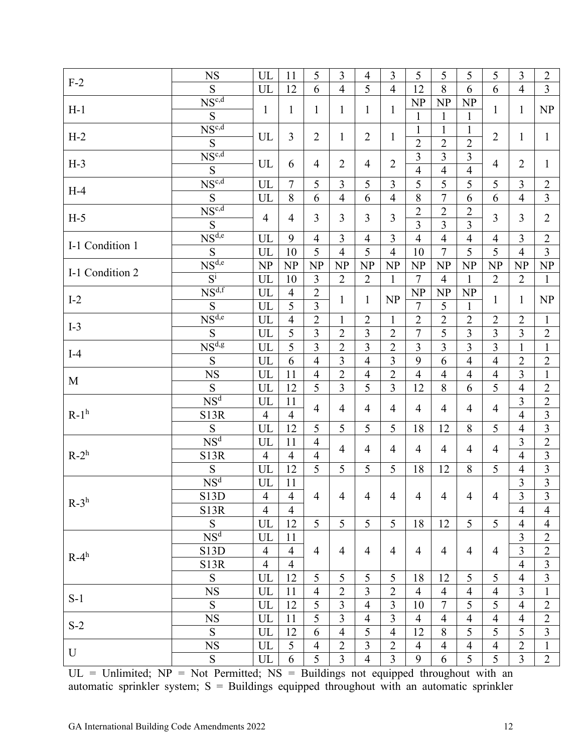| $F-2$           | <b>NS</b>                                            | UL             | 11             | 5                       | 3              | $\overline{4}$ | $\overline{3}$ | 5                    | 5              | 5              | 5              | 3              | $\overline{2}$ |
|-----------------|------------------------------------------------------|----------------|----------------|-------------------------|----------------|----------------|----------------|----------------------|----------------|----------------|----------------|----------------|----------------|
|                 | S                                                    | UL             | 12             | 6                       | $\overline{4}$ | 5              | $\overline{4}$ | 12                   | 8              | 6              | 6              | $\overline{4}$ | $\overline{3}$ |
|                 | NS <sup>c,d</sup>                                    |                |                |                         |                |                |                | NP                   | NP             | NP             |                |                |                |
| $H-1$           | ${\bf S}$                                            | $\mathbf{1}$   | $\mathbf{1}$   | $\mathbf{1}$            | $\mathbf{1}$   | $\mathbf{1}$   | $\mathbf{1}$   | $\mathbf{1}$         | $\mathbf{1}$   | $\mathbf{1}$   | $\mathbf{1}$   | $\mathbf{1}$   | NP             |
|                 | $NS^{c,d}$                                           |                |                |                         |                |                |                | $\mathbf{1}$         | $\mathbf{1}$   | $\mathbf{1}$   |                |                |                |
| $H-2$           | $\overline{S}$                                       | UL             | $\mathfrak{Z}$ | $\overline{2}$          | $\mathbf{1}$   | $\overline{2}$ | 1              | $\overline{2}$       | $\overline{2}$ | $\overline{2}$ | $\overline{2}$ | $\mathbf{1}$   | $\mathbf{1}$   |
|                 | $NS^{c,d}$                                           |                |                |                         |                |                |                | $\overline{3}$       | $\overline{3}$ | $\overline{3}$ |                |                |                |
| $H-3$           | ${\bf S}$                                            | UL             | 6              | $\overline{4}$          | $\overline{2}$ | $\overline{4}$ | $\overline{2}$ | $\overline{4}$       | $\overline{4}$ | $\overline{4}$ | $\overline{4}$ | $\overline{2}$ | $\mathbf{1}$   |
|                 | $NS^{c,d}$                                           | UL             | $\overline{7}$ | 5                       | 3              | 5              | $\overline{3}$ | 5                    | 5              | 5              | 5              | $\overline{3}$ | $\overline{2}$ |
| $H-4$           | ${\bf S}$                                            | UL             | 8              | 6                       | $\overline{4}$ | 6              | $\overline{4}$ | 8                    | 7              | 6              | 6              | $\overline{4}$ | $\overline{3}$ |
|                 | $NS^{c,d}$                                           |                |                |                         |                |                |                | $\overline{2}$       | $\overline{2}$ | $\overline{2}$ |                |                |                |
| $H-5$           | S                                                    | $\overline{4}$ | $\overline{4}$ | 3                       | $\overline{3}$ | $\overline{3}$ | 3              | 3                    | 3              | $\overline{3}$ | $\overline{3}$ | $\overline{3}$ | $\overline{2}$ |
|                 | $\overline{\text{NS}^{\text{d,e}}}$                  | UL             | 9              | $\overline{4}$          | $\mathfrak{Z}$ | $\overline{4}$ | 3              | $\overline{4}$       | $\overline{4}$ | $\overline{4}$ | $\overline{4}$ | $\mathfrak{Z}$ | $\overline{2}$ |
| I-1 Condition 1 | ${\bf S}$                                            | UL             | 10             | 5                       | $\overline{4}$ | 5              | $\overline{4}$ | 10                   | 7              | 5              | 5              | $\overline{4}$ | $\overline{3}$ |
|                 | NS <sup>d,e</sup>                                    | NP             | NP             | NP                      | <b>NP</b>      | NP             | <b>NP</b>      | NP                   | NP             | <b>NP</b>      | NP             | NP             | NP             |
| I-1 Condition 2 | $\overline{S^i}$                                     | UL             | 10             | 3                       | $\overline{2}$ | $\overline{2}$ |                | $\overline{7}$       | $\overline{4}$ |                | $\overline{2}$ | $\overline{2}$ | $\mathbf{1}$   |
|                 | NS <sup>d,f</sup>                                    | UL             | $\overline{4}$ | $\overline{2}$          |                |                | 1              |                      |                | 1              |                |                |                |
| $I-2$           |                                                      |                |                |                         | $\mathbf{1}$   | $\mathbf{1}$   | NP             | NP<br>$\overline{7}$ | NP             | <b>NP</b>      | $\mathbf{1}$   | 1              | NP             |
|                 | ${\mathbf S}$<br>$\overline{\text{NS}^{\text{d,e}}}$ | UL             | 5              | $\overline{\mathbf{3}}$ |                |                |                |                      | 5              | 1              |                |                |                |
| $I-3$           |                                                      | UL             | $\overline{4}$ | $\overline{2}$          | $\mathbf{1}$   | $\overline{2}$ | $\mathbf{1}$   | $\overline{2}$       | $\overline{2}$ | $\overline{2}$ | $\overline{2}$ | $\overline{2}$ | $\mathbf{1}$   |
|                 | $\overline{S}$                                       | UL             | $\overline{5}$ | $\overline{3}$          | $\overline{c}$ | 3              | $\overline{2}$ | $\overline{7}$       | 5              | $\overline{3}$ | $\overline{3}$ | $\overline{3}$ | $\sqrt{2}$     |
| $I-4$           | NS <sup>d,g</sup>                                    | UL             | $\overline{5}$ | $\overline{3}$          | $\overline{2}$ | 3              | $\overline{2}$ | 3                    | 3              | $\overline{3}$ | 3              | $\mathbf{1}$   | $\mathbf{1}$   |
|                 | ${\bf S}$                                            | UL             | 6              | $\overline{4}$          | $\overline{3}$ | $\overline{4}$ | $\overline{3}$ | 9                    | 6              | $\overline{4}$ | $\overline{4}$ | $\overline{2}$ | $\sqrt{2}$     |
| M               | <b>NS</b>                                            | UL             | 11             | $\overline{4}$          | $\sqrt{2}$     | $\overline{4}$ | $\overline{2}$ | $\overline{4}$       | $\overline{4}$ | $\overline{4}$ | $\overline{4}$ | $\overline{3}$ | $\mathbf{1}$   |
|                 | S                                                    | UL             | 12             | $\overline{5}$          | $\overline{3}$ | 5              | $\overline{3}$ | 12                   | 8              | 6              | 5              | $\overline{4}$ | $\overline{2}$ |
|                 | NS <sup>d</sup>                                      | UL             | 11             | $\overline{4}$          | $\overline{4}$ | $\overline{4}$ | $\overline{4}$ | $\overline{4}$       | $\overline{4}$ | $\overline{4}$ | $\overline{4}$ | 3              | $\overline{2}$ |
| $R-1h$          | S13R                                                 | $\overline{4}$ | $\overline{4}$ |                         |                |                |                |                      |                |                |                | $\overline{4}$ | $\overline{3}$ |
|                 | S                                                    | UL             | 12             | 5                       | 5              | 5              | 5              | 18                   | 12             | 8              | 5              | $\overline{4}$ | $\overline{3}$ |
|                 | NS <sup>d</sup>                                      | UL             | 11             | $\overline{4}$          | $\overline{4}$ | $\overline{4}$ | $\overline{4}$ | $\overline{4}$       | $\overline{4}$ | $\overline{4}$ | $\overline{4}$ | $\overline{3}$ | $\overline{2}$ |
| $R-2^h$         | <b>S13R</b>                                          | $\overline{4}$ | $\overline{4}$ | $\overline{4}$          |                |                |                |                      |                |                |                | $\overline{4}$ | $\overline{3}$ |
|                 | S                                                    | UL             | 12             | 5                       | 5              | 5              | 5              | 18                   | 12             | 8              | 5              | $\overline{4}$ | $\overline{3}$ |
|                 | NS <sup>d</sup>                                      | UL             | 11             |                         |                |                |                |                      |                |                |                | $\overline{3}$ | $\overline{3}$ |
|                 | S13D                                                 | $\overline{4}$ | $\overline{4}$ | $\overline{4}$          | $\overline{4}$ | $\overline{4}$ | 4              | $\overline{4}$       | 4              | 4              | $\overline{4}$ | $\overline{3}$ | 3              |
| $R-3^h$         | <b>S13R</b>                                          | $\overline{4}$ | $\overline{4}$ |                         |                |                |                |                      |                |                |                | $\overline{4}$ | $\overline{4}$ |
|                 | S                                                    | UL             | 12             | 5                       | 5              | 5              | 5 <sup>1</sup> | 18                   | 12             | 5              | 5              | $\overline{4}$ | $\overline{4}$ |
|                 | NS <sup>d</sup>                                      | UL             | 11             |                         |                |                |                |                      |                |                |                | $\overline{3}$ | $\overline{2}$ |
|                 | S13D                                                 | $\overline{4}$ | $\overline{4}$ | $\overline{4}$          | 4              | $\overline{4}$ | 4              | $\overline{4}$       | 4              | 4              | $\overline{4}$ | $\overline{3}$ | $\overline{2}$ |
| $R-4^h$         | <b>S13R</b>                                          | $\overline{4}$ | $\overline{4}$ |                         |                |                |                |                      |                |                |                | $\overline{4}$ | $\overline{3}$ |
|                 | ${\bf S}$                                            | UL             | 12             | 5                       | 5              | 5              | 5              | 18                   | 12             | 5              | 5              | $\overline{4}$ | 3              |
|                 | <b>NS</b>                                            | UL             | 11             | $\overline{4}$          | $\overline{2}$ | 3              | $\overline{2}$ | $\overline{4}$       | $\overline{4}$ | $\overline{4}$ | $\overline{4}$ | $\mathfrak{Z}$ | $\mathbf{1}$   |
| $S-1$           | ${\bf S}$                                            | UL             | 12             | 5                       | $\overline{3}$ | $\overline{4}$ | 3              | 10                   | $\overline{7}$ | 5              | 5              | $\overline{4}$ | $\overline{2}$ |
|                 |                                                      |                |                | $\overline{5}$          | $\overline{3}$ |                | $\overline{3}$ |                      |                |                |                |                |                |
| $S-2$           | <b>NS</b>                                            | UL             | 11             |                         |                | 4              |                | $\overline{4}$       | $\overline{4}$ | 4              | $\overline{4}$ | $\overline{4}$ | $\overline{2}$ |
|                 | S                                                    | UL             | 12             | 6                       | $\overline{4}$ | 5              | 4              | 12                   | 8              | 5              | 5              | 5              | 3              |
| U               | <b>NS</b>                                            | UL             | 5              | $\overline{4}$          | $\overline{2}$ | 3              | $\overline{2}$ | $\overline{4}$       | $\overline{4}$ | $\overline{4}$ | $\overline{4}$ | $\overline{2}$ | $\mathbf{1}$   |
|                 | ${\bf S}$                                            | UL             | 6              | 5                       | 3              | $\overline{4}$ | 3              | 9                    | 6              | 5              | 5              | $\overline{3}$ | $\overline{2}$ |

 $UL = Uhlimited$ ;  $NP = Not Permitted$ ;  $NS = Buildings$  not equipped throughout with an automatic sprinkler system;  $S =$  Buildings equipped throughout with an automatic sprinkler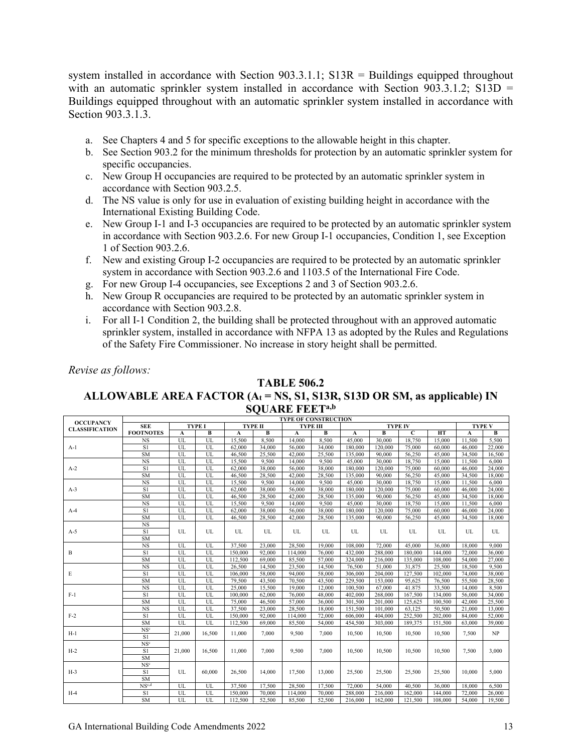system installed in accordance with Section 903.3.1.1; S13R = Buildings equipped throughout with an automatic sprinkler system installed in accordance with Section 903.3.1.2; S13D = Buildings equipped throughout with an automatic sprinkler system installed in accordance with Section 903.3.1.3.

- a. See Chapters 4 and 5 for specific exceptions to the allowable height in this chapter.
- b. See Section 903.2 for the minimum thresholds for protection by an automatic sprinkler system for specific occupancies.
- c. New Group H occupancies are required to be protected by an automatic sprinkler system in accordance with Section 903.2.5.
- d. The NS value is only for use in evaluation of existing building height in accordance with the International Existing Building Code.
- e. New Group I-1 and I-3 occupancies are required to be protected by an automatic sprinkler system in accordance with Section 903.2.6. For new Group I-1 occupancies, Condition 1, see Exception 1 of Section 903.2.6.
- f. New and existing Group I-2 occupancies are required to be protected by an automatic sprinkler system in accordance with Section 903.2.6 and 1103.5 of the International Fire Code.
- g. For new Group I-4 occupancies, see Exceptions 2 and 3 of Section 903.2.6.
- h. New Group R occupancies are required to be protected by an automatic sprinkler system in accordance with Section 903.2.8.
- i. For all I-1 Condition 2, the building shall be protected throughout with an approved automatic sprinkler system, installed in accordance with NFPA 13 as adopted by the Rules and Regulations of the Safety Fire Commissioner. No increase in story height shall be permitted.

*Revise as follows:*

#### **TABLE 506.2**

#### **ALLOWABLE AREA FACTOR (At = NS, S1, S13R, S13D OR SM, as applicable) IN SQUARE FEETa,b**

|                                                                                                                                                        | <b>TYPE OF CONSTRUCTION</b> |              |               |         |                |         |                 |              |         |                |         |        |               |  |
|--------------------------------------------------------------------------------------------------------------------------------------------------------|-----------------------------|--------------|---------------|---------|----------------|---------|-----------------|--------------|---------|----------------|---------|--------|---------------|--|
|                                                                                                                                                        | <b>SEE</b>                  |              | <b>TYPE I</b> |         | <b>TYPE II</b> |         | <b>TYPE III</b> |              |         | <b>TYPE IV</b> |         |        | <b>TYPE V</b> |  |
|                                                                                                                                                        | <b>FOOTNOTES</b>            | $\mathbf{A}$ | В             | A       | B              | A       | В               | $\mathbf{A}$ | B       | $\mathbf C$    | HT      | A      | B             |  |
|                                                                                                                                                        | <b>NS</b>                   | UL           | UL            | 15.500  | 8,500          | 14,000  | 8,500           | 45,000       | 30,000  | 18,750         | 15,000  | 11.500 | 5.500         |  |
| <b>OCCUPANCY</b><br><b>CLASSIFICATION</b><br>$A-1$<br>$A-2$<br>$A-3$<br>$A-4$<br>$A-5$<br>B<br>E<br>$F-1$<br>$F-2$<br>$H-1$<br>$H-2$<br>$H-3$<br>$H-4$ | S1                          | UL           | UL            | 62,000  | 34,000         | 56,000  | 34,000          | 180,000      | 120,000 | 75,000         | 60,000  | 46,000 | 22,000        |  |
|                                                                                                                                                        | <b>SM</b>                   | UL           | UL            | 46,500  | 25,500         | 42,000  | 25,500          | 135,000      | 90,000  | 56,250         | 45,000  | 34,500 | 16,500        |  |
|                                                                                                                                                        | <b>NS</b>                   | UL           | UL            | 15,500  | 9,500          | 14,000  | 9,500           | 45,000       | 30,000  | 18,750         | 15,000  | 11,500 | 6,000         |  |
|                                                                                                                                                        | S1                          | UL           | UL            | 62,000  | 38,000         | 56,000  | 38,000          | 180,000      | 120,000 | 75,000         | 60,000  | 46,000 | 24,000        |  |
|                                                                                                                                                        | <b>SM</b>                   | UL           | UL            | 46,500  | 28,500         | 42,000  | 28,500          | 135,000      | 90,000  | 56,250         | 45,000  | 34,500 | 18,000        |  |
|                                                                                                                                                        | <b>NS</b>                   | UL           | UL            | 15,500  | 9.500          | 14,000  | 9.500           | 45,000       | 30,000  | 18,750         | 15,000  | 11,500 | 6,000         |  |
|                                                                                                                                                        | S <sub>1</sub>              | UL           | UL            | 62,000  | 38,000         | 56,000  | 38,000          | 180,000      | 120,000 | 75,000         | 60,000  | 46,000 | 24,000        |  |
|                                                                                                                                                        | <b>SM</b>                   | UL           | UL            | 46,500  | 28,500         | 42,000  | 28,500          | 135,000      | 90,000  | 56,250         | 45,000  | 34,500 | 18,000        |  |
|                                                                                                                                                        | $_{\rm NS}$                 | UL           | UL            | 15,500  | 9.500          | 14,000  | 9.500           | 45,000       | 30,000  | 18,750         | 15,000  | 11,500 | 6,000         |  |
|                                                                                                                                                        | S1                          | UL           | UL            | 62,000  | 38,000         | 56,000  | 38,000          | 180,000      | 120,000 | 75,000         | 60,000  | 46,000 | 24,000        |  |
|                                                                                                                                                        | <b>SM</b>                   | UL           | UL            | 46,500  | 28,500         | 42,000  | 28,500          | 135,000      | 90,000  | 56,250         | 45,000  | 34,500 | 18,000        |  |
|                                                                                                                                                        | $_{\rm NS}$                 |              |               |         |                |         |                 |              |         |                |         |        |               |  |
|                                                                                                                                                        | S1                          | UL           | UL            | UL      | UL             | UL      | UL              | UL           | UL      | UL             | UL      | UL     | UL            |  |
|                                                                                                                                                        | <b>SM</b>                   |              |               |         |                |         |                 |              |         |                |         |        |               |  |
|                                                                                                                                                        | <b>NS</b>                   | UL           | UL            | 37,500  | 23,000         | 28,500  | 19,000          | 108,000      | 72,000  | 45,000         | 36,000  | 18,000 | 9,000         |  |
|                                                                                                                                                        | S1                          | UL           | UL            | 150,000 | 92,000         | 114,000 | 76,000          | 432,000      | 288,000 | 180,000        | 144,000 | 72,000 | 36,000        |  |
|                                                                                                                                                        | <b>SM</b>                   | UL           | UL            | 112,500 | 69,000         | 85,500  | 57,000          | 324,000      | 216,000 | 135,000        | 108,000 | 54,000 | 27,000        |  |
|                                                                                                                                                        | <b>NS</b>                   | UL           | UL            | 26,500  | 14,500         | 23,500  | 14,500          | 76,500       | 51,000  | 31,875         | 25,500  | 18,500 | 9,500         |  |
|                                                                                                                                                        | S1                          | UL           | UL            | 106,000 | 58,000         | 94,000  | 58,000          | 306,000      | 204,000 | 127,500        | 102,000 | 74,000 | 38,000        |  |
|                                                                                                                                                        | <b>SM</b>                   | UL           | UL            | 79,500  | 43,500         | 70,500  | 43,500          | 229,500      | 153,000 | 95,625         | 76,500  | 55,500 | 28,500        |  |
|                                                                                                                                                        | <b>NS</b>                   | UL           | UL            | 25,000  | 15,500         | 19,000  | 12,000          | 100,500      | 67,000  | 41.875         | 33,500  | 14,000 | 8,500         |  |
|                                                                                                                                                        | S <sub>1</sub>              | UL           | UL            | 100,000 | 62,000         | 76,000  | 48,000          | 402,000      | 268,000 | 167,500        | 134,000 | 56,000 | 34,000        |  |
|                                                                                                                                                        | <b>SM</b>                   | UL           | UL            | 75,000  | 46,500         | 57,000  | 36,000          | 301,500      | 201.000 | 125,625        | 100,500 | 42,000 | 25,500        |  |
|                                                                                                                                                        | $_{\rm NS}$                 | UL           | UL            | 37,500  | 23,000         | 28,500  | 18,000          | 151,500      | 101,000 | 63,125         | 50,500  | 21,000 | 13,000        |  |
|                                                                                                                                                        | S1                          | UL           | UL            | 150,000 | 92,000         | 114,000 | 72,000          | 606,000      | 404,000 | 252,500        | 202,000 | 84,000 | 52,000        |  |
|                                                                                                                                                        | <b>SM</b>                   | UL           | UL            | 112.500 | 69,000         | 85,500  | 54,000          | 454,500      | 303,000 | 189,375        | 151,500 | 63,000 | 39,000        |  |
|                                                                                                                                                        | NS <sup>c</sup>             | 21,000       | 16,500        | 11,000  | 7,000          | 9,500   | 7,000           | 10,500       | 10,500  | 10,500         | 10,500  | 7,500  | NP            |  |
|                                                                                                                                                        | S1                          |              |               |         |                |         |                 |              |         |                |         |        |               |  |
|                                                                                                                                                        | NS <sup>c</sup>             |              |               |         |                |         |                 |              |         |                |         |        |               |  |
|                                                                                                                                                        | S1                          | 21,000       | 16.500        | 11,000  | 7,000          | 9.500   | 7,000           | 10.500       | 10,500  | 10,500         | 10,500  | 7.500  | 3,000         |  |
|                                                                                                                                                        | SM                          |              |               |         |                |         |                 |              |         |                |         |        |               |  |
|                                                                                                                                                        | NS <sup>c</sup>             |              |               |         |                |         |                 |              |         |                |         |        |               |  |
|                                                                                                                                                        | S1                          | UL           | 60,000        | 26,500  | 14,000         | 17.500  | 13,000          | 25,500       | 25,500  | 25,500         | 25,500  | 10,000 | 5,000         |  |
|                                                                                                                                                        | SM                          |              |               |         |                |         |                 |              |         |                |         |        |               |  |
|                                                                                                                                                        | NS <sub>c,d</sub>           | UL           | UL            | 37,500  | 17.500         | 28,500  | 17,500          | 72,000       | 54,000  | 40,500         | 36,000  | 18,000 | 6,500         |  |
|                                                                                                                                                        | S1                          | UL           | UL            | 150,000 | 70,000         | 114,000 | 70,000          | 288,000      | 216,000 | 162,000        | 144,000 | 72,000 | 26,000        |  |
|                                                                                                                                                        | <b>SM</b>                   | UL           | UL            | 112,500 | 52,500         | 85,500  | 52,500          | 216,000      | 162,000 | 121,500        | 108,000 | 54.000 | 19.500        |  |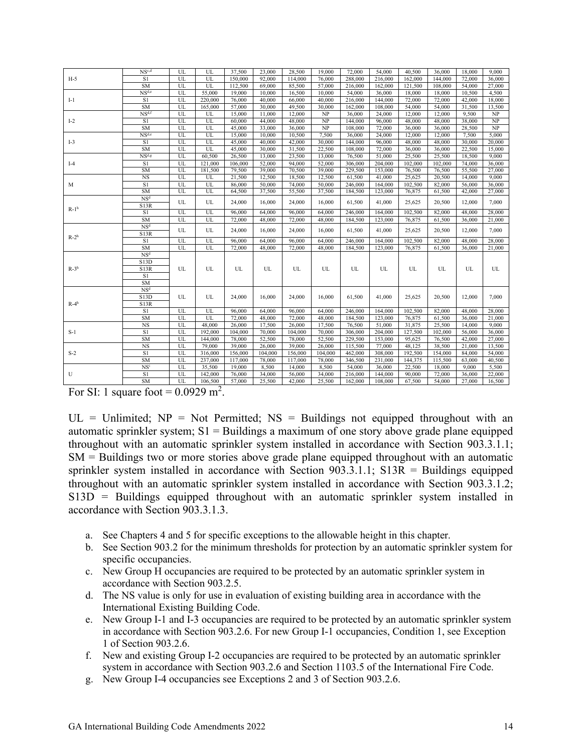|             | NS <sub>c,d</sub> | UL          | UL      | 37,500  | 23,000  | 28,500  | 19,000  | 72,000  | 54,000      | 40,500  | 36,000  | 18,000 | 9,000  |
|-------------|-------------------|-------------|---------|---------|---------|---------|---------|---------|-------------|---------|---------|--------|--------|
| $H-5$       | S <sub>1</sub>    | UL          | UL      | 150,000 | 92,000  | 114,000 | 76,000  | 288,000 | 216,000     | 162,000 | 144,000 | 72,000 | 36,000 |
|             | SM                | UL          | UL      | 112,500 | 69,000  | 85,500  | 57,000  | 216,000 | 162,000     | 121,500 | 108,000 | 54,000 | 27,000 |
|             | NS <sup>d,c</sup> | UL          | 55,000  | 19,000  | 10,000  | 16,500  | 10,000  | 54,000  | 36,000      | 18,000  | 18,000  | 10,500 | 4,500  |
| $I-1$       | S1                | UL          | 220,000 | 76,000  | 40,000  | 66,000  | 40,000  | 216,000 | 144,000     | 72,000  | 72,000  | 42,000 | 18,000 |
|             | <b>SM</b>         | UL          | 165,000 | 57,000  | 30,000  | 49,500  | 30,000  | 162,000 | 108,000     | 54,000  | 54,000  | 31,500 | 13,500 |
|             | NS <sup>d,f</sup> | UL          | UL      | 15,000  | 11,000  | 12,000  | NP      | 36,000  | 24,000      | 12,000  | 12,000  | 9,500  | NP     |
| $I-2$       | S1                | UL          | UL      | 60,000  | 44,000  | 48,000  | NP      | 144,000 | 96,000      | 48,000  | 48,000  | 38,000 | NP     |
|             | ${\rm SM}$        | UL          | UL      | 45,000  | 33,000  | 36,000  | NP      | 108,000 | 72,000      | 36,000  | 36,000  | 28,500 | NP     |
|             | NS <sup>d,c</sup> | UL          | UL      | 15,000  | 10,000  | 10,500  | 7,500   | 36,000  | 24,000      | 12,000  | 12,000  | 7,500  | 5,000  |
| $I-3$       | S1                | UL          | UL      | 45,000  | 40,000  | 42,000  | 30,000  | 144,000 | 96,000      | 48,000  | 48,000  | 30,000 | 20,000 |
|             | SM                | UL          | UL      | 45,000  | 30,000  | 31,500  | 22,500  | 108,000 | 72,000      | 36,000  | 36,000  | 22,500 | 15,000 |
|             | NS <sup>d,g</sup> | UL          | 60,500  | 26,500  | 13,000  | 23,500  | 13,000  | 76,500  | 51,000      | 25,500  | 25,500  | 18,500 | 9,000  |
| $I-4$       | S <sub>1</sub>    | UL          | 121,000 | 106,000 | 52,000  | 94,000  | 52,000  | 306,000 | 204,000     | 102,000 | 102,000 | 74,000 | 36,000 |
|             | <b>SM</b>         | UL          | 181,500 | 79,500  | 39,000  | 70,500  | 39,000  | 229,500 | 153,000     | 76,500  | 76,500  | 55,500 | 27,000 |
|             | <b>NS</b>         | UL          | UL      | 21,500  | 12,500  | 18,500  | 12,500  | 61,500  | 41,000      | 25,625  | 20,500  | 14,000 | 9,000  |
| М           | S1                | UL          | UL      | 86,000  | 50,000  | 74,000  | 50,000  | 246,000 | 164,000     | 102,500 | 82,000  | 56,000 | 36,000 |
|             | SM                | UL          | UL      | 64,500  | 37,500  | 55,500  | 37,500  | 184,500 | 123,000     | 76,875  | 61,500  | 42,000 | 27,000 |
|             | NS <sup>d</sup>   | $_{\rm UL}$ | UL      | 24,000  | 16,000  | 24,000  | 16,000  | 61,500  | 41,000      | 25,625  | 20,500  | 12,000 | 7,000  |
| $R-1h$      | S13R              |             |         |         |         |         |         |         |             |         |         |        |        |
|             | S <sub>1</sub>    | UL          | UL      | 96,000  | 64,000  | 96,000  | 64,000  | 246,000 | 164,000     | 102,500 | 82,000  | 48,000 | 28,000 |
|             | <b>SM</b>         | UL          | UL      | 72,000  | 48,000  | 72,000  | 48,000  | 184,500 | 123,000     | 76,875  | 61,500  | 36,000 | 21,000 |
|             | NS <sup>d</sup>   | UL          | UL      | 24,000  | 16,000  | 24,000  | 16,000  | 61,500  | 41,000      | 25,625  | 20,500  | 12,000 | 7,000  |
| $R-2h$      | S13R              |             |         |         |         |         |         |         |             |         |         |        |        |
|             | S1                | UL          | UL      | 96,000  | 64,000  | 96,000  | 64,000  | 246,000 | 164,000     | 102,500 | 82,000  | 48,000 | 28,000 |
|             | <b>SM</b>         | UL          | UL      | 72,000  | 48,000  | 72,000  | 48,000  | 184,500 | 123,000     | 76,875  | 61,500  | 36,000 | 21,000 |
|             | NS <sup>d</sup>   |             |         |         |         |         |         |         |             |         |         |        |        |
|             | S13D              |             |         |         |         |         |         |         |             |         |         |        |        |
| $R-3h$      | S13R              | UL          | UL      | UL      | UL      | UL      | UL      | UL      | $_{\rm UL}$ | UL      | UL      | UL     | UL     |
|             | S1                |             |         |         |         |         |         |         |             |         |         |        |        |
|             | SM                |             |         |         |         |         |         |         |             |         |         |        |        |
|             | NS <sup>d</sup>   |             |         |         |         |         |         |         |             |         |         |        |        |
|             | S13D              | UL          | UL      | 24,000  | 16,000  | 24,000  | 16,000  | 61,500  | 41,000      | 25,625  | 20,500  | 12,000 | 7,000  |
| $R-4h$      | S13R              |             |         |         |         |         |         |         |             |         |         |        |        |
|             | S1                | UL          | UL      | 96,000  | 64,000  | 96,000  | 64,000  | 246,000 | 164,000     | 102,500 | 82,000  | 48,000 | 28,000 |
|             | SM                | UL          | UL      | 72,000  | 48,000  | 72,000  | 48,000  | 184,500 | 123,000     | 76,875  | 61,500  | 36,000 | 21,000 |
|             | $_{\rm NS}$       | UL          | 48,000  | 26,000  | 17,500  | 26,000  | 17,500  | 76,500  | 51,000      | 31,875  | 25,500  | 14,000 | 9,000  |
| $S-1$       | S1                | UL          | 192,000 | 104,000 | 70,000  | 104,000 | 70,000  | 306,000 | 204,000     | 127,500 | 102,000 | 56,000 | 36,000 |
|             | <b>SM</b>         | UL          | 144,000 | 78,000  | 52,500  | 78,000  | 52,500  | 229,500 | 153,000     | 95,625  | 76,500  | 42,000 | 27,000 |
|             | $_{\rm NS}$       | UL          | 79,000  | 39,000  | 26,000  | 39,000  | 26,000  | 115,500 | 77,000      | 48,125  | 38,500  | 21,000 | 13,500 |
| $S-2$       | S1                | UL          | 316,000 | 156,000 | 104,000 | 156,000 | 104,000 | 462,000 | 308,000     | 192,500 | 154,000 | 84,000 | 54,000 |
|             | <b>SM</b>         | UL          | 237,000 | 117,000 | 78,000  | 117,000 | 78,000  | 346,500 | 231,000     | 144,375 | 115,500 | 63,000 | 40,500 |
|             | NS <sup>i</sup>   | UL          | 35,500  | 19,000  | 8,500   | 14,000  | 8,500   | 54,000  | 36,000      | 22,500  | 18,000  | 9,000  | 5,500  |
| $\mathbf U$ | S1                | UL          | 142,000 | 76,000  | 34,000  | 56,000  | 34,000  | 216,000 | 144,000     | 90,000  | 72,000  | 36,000 | 22,000 |
|             | SM                | UL          | 106,500 | 57,000  | 25,500  | 42,000  | 25,500  | 162,000 | 108,000     | 67,500  | 54,000  | 27,000 | 16,500 |

For SI: 1 square foot =  $0.0929$  m<sup>2</sup>.

 $UL = Uhlimited$ ;  $NP = Not Permitted$ ;  $NS = Buildings$  not equipped throughout with an automatic sprinkler system;  $S1 =$  Buildings a maximum of one story above grade plane equipped throughout with an automatic sprinkler system installed in accordance with Section 903.3.1.1; SM = Buildings two or more stories above grade plane equipped throughout with an automatic sprinkler system installed in accordance with Section 903.3.1.1; S13R = Buildings equipped throughout with an automatic sprinkler system installed in accordance with Section 903.3.1.2; S13D = Buildings equipped throughout with an automatic sprinkler system installed in accordance with Section 903.3.1.3.

- a. See Chapters 4 and 5 for specific exceptions to the allowable height in this chapter.
- b. See Section 903.2 for the minimum thresholds for protection by an automatic sprinkler system for specific occupancies.
- c. New Group H occupancies are required to be protected by an automatic sprinkler system in accordance with Section 903.2.5.
- d. The NS value is only for use in evaluation of existing building area in accordance with the International Existing Building Code.
- e. New Group I-1 and I-3 occupancies are required to be protected by an automatic sprinkler system in accordance with Section 903.2.6. For new Group I-1 occupancies, Condition 1, see Exception 1 of Section 903.2.6.
- f. New and existing Group I-2 occupancies are required to be protected by an automatic sprinkler system in accordance with Section 903.2.6 and Section 1103.5 of the International Fire Code.
- g. New Group I-4 occupancies see Exceptions 2 and 3 of Section 903.2.6.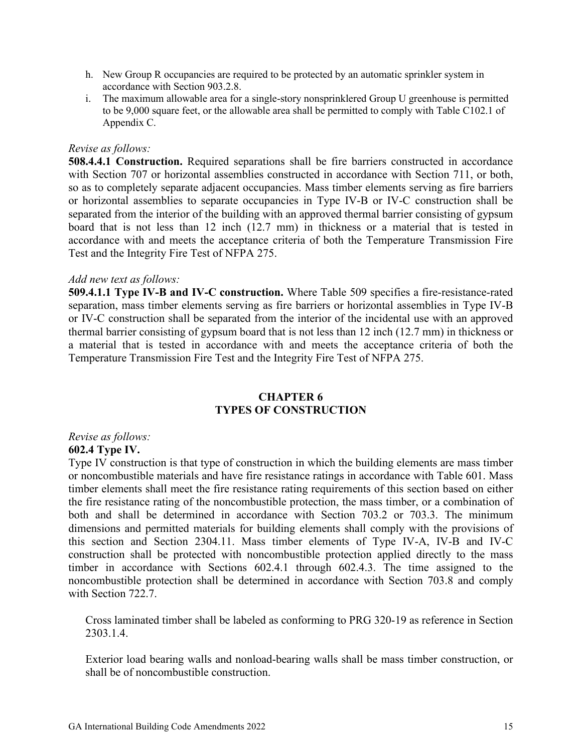- h. New Group R occupancies are required to be protected by an automatic sprinkler system in accordance with Section 903.2.8.
- i. The maximum allowable area for a single-story nonsprinklered Group U greenhouse is permitted to be 9,000 square feet, or the allowable area shall be permitted to comply with Table C102.1 of Appendix C.

#### *Revise as follows:*

**508.4.4.1 Construction.** Required separations shall be fire barriers constructed in accordance with Section 707 or horizontal assemblies constructed in accordance with Section 711, or both, so as to completely separate adjacent occupancies. Mass timber elements serving as fire barriers or horizontal assemblies to separate occupancies in Type IV-B or IV-C construction shall be separated from the interior of the building with an approved thermal barrier consisting of gypsum board that is not less than 12 inch (12.7 mm) in thickness or a material that is tested in accordance with and meets the acceptance criteria of both the Temperature Transmission Fire Test and the Integrity Fire Test of NFPA 275.

#### *Add new text as follows:*

**509.4.1.1 Type IV-B and IV-C construction.** Where Table 509 specifies a fire-resistance-rated separation, mass timber elements serving as fire barriers or horizontal assemblies in Type IV-B or IV-C construction shall be separated from the interior of the incidental use with an approved thermal barrier consisting of gypsum board that is not less than 12 inch (12.7 mm) in thickness or a material that is tested in accordance with and meets the acceptance criteria of both the Temperature Transmission Fire Test and the Integrity Fire Test of NFPA 275.

#### **CHAPTER 6 TYPES OF CONSTRUCTION**

#### *Revise as follows:*

#### **602.4 Type IV.**

Type IV construction is that type of construction in which the building elements are mass timber or noncombustible materials and have fire resistance ratings in accordance with Table 601. Mass timber elements shall meet the fire resistance rating requirements of this section based on either the fire resistance rating of the noncombustible protection, the mass timber, or a combination of both and shall be determined in accordance with Section 703.2 or 703.3. The minimum dimensions and permitted materials for building elements shall comply with the provisions of this section and Section 2304.11. Mass timber elements of Type IV-A, IV-B and IV-C construction shall be protected with noncombustible protection applied directly to the mass timber in accordance with Sections 602.4.1 through 602.4.3. The time assigned to the noncombustible protection shall be determined in accordance with Section 703.8 and comply with Section 722.7.

Cross laminated timber shall be labeled as conforming to PRG 320-19 as reference in Section 2303.1.4.

Exterior load bearing walls and nonload-bearing walls shall be mass timber construction, or shall be of noncombustible construction.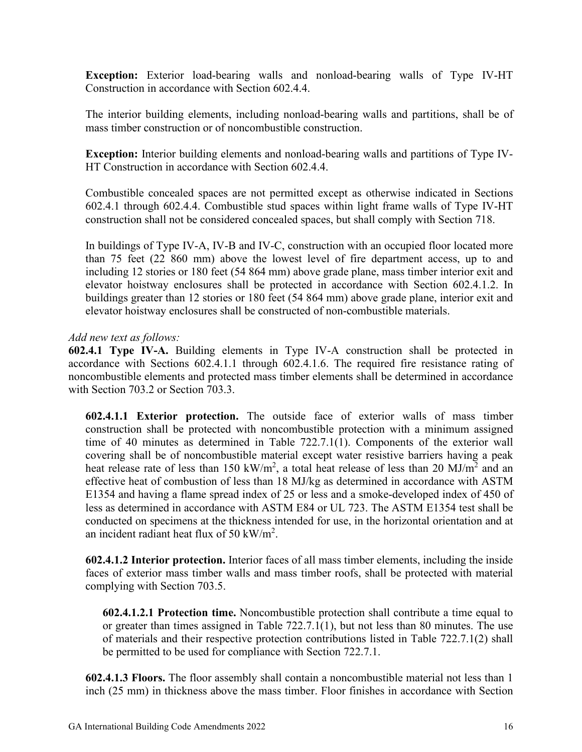**Exception:** Exterior load-bearing walls and nonload-bearing walls of Type IV-HT Construction in accordance with Section 602.4.4.

The interior building elements, including nonload-bearing walls and partitions, shall be of mass timber construction or of noncombustible construction.

**Exception:** Interior building elements and nonload-bearing walls and partitions of Type IV-HT Construction in accordance with Section 602.4.4.

Combustible concealed spaces are not permitted except as otherwise indicated in Sections 602.4.1 through 602.4.4. Combustible stud spaces within light frame walls of Type IV-HT construction shall not be considered concealed spaces, but shall comply with Section 718.

In buildings of Type IV-A, IV-B and IV-C, construction with an occupied floor located more than 75 feet (22 860 mm) above the lowest level of fire department access, up to and including 12 stories or 180 feet (54 864 mm) above grade plane, mass timber interior exit and elevator hoistway enclosures shall be protected in accordance with Section 602.4.1.2. In buildings greater than 12 stories or 180 feet (54 864 mm) above grade plane, interior exit and elevator hoistway enclosures shall be constructed of non-combustible materials.

#### *Add new text as follows:*

**602.4.1 Type IV-A.** Building elements in Type IV-A construction shall be protected in accordance with Sections 602.4.1.1 through 602.4.1.6. The required fire resistance rating of noncombustible elements and protected mass timber elements shall be determined in accordance with Section 703.2 or Section 703.3.

**602.4.1.1 Exterior protection.** The outside face of exterior walls of mass timber construction shall be protected with noncombustible protection with a minimum assigned time of 40 minutes as determined in Table 722.7.1(1). Components of the exterior wall covering shall be of noncombustible material except water resistive barriers having a peak heat release rate of less than 150 kW/m<sup>2</sup>, a total heat release of less than 20 MJ/m<sup>2</sup> and an effective heat of combustion of less than 18 MJ/kg as determined in accordance with ASTM E1354 and having a flame spread index of 25 or less and a smoke-developed index of 450 of less as determined in accordance with ASTM E84 or UL 723. The ASTM E1354 test shall be conducted on specimens at the thickness intended for use, in the horizontal orientation and at an incident radiant heat flux of 50 kW/m<sup>2</sup>.

**602.4.1.2 Interior protection.** Interior faces of all mass timber elements, including the inside faces of exterior mass timber walls and mass timber roofs, shall be protected with material complying with Section 703.5.

**602.4.1.2.1 Protection time.** Noncombustible protection shall contribute a time equal to or greater than times assigned in Table 722.7.1(1), but not less than 80 minutes. The use of materials and their respective protection contributions listed in Table 722.7.1(2) shall be permitted to be used for compliance with Section 722.7.1.

**602.4.1.3 Floors.** The floor assembly shall contain a noncombustible material not less than 1 inch (25 mm) in thickness above the mass timber. Floor finishes in accordance with Section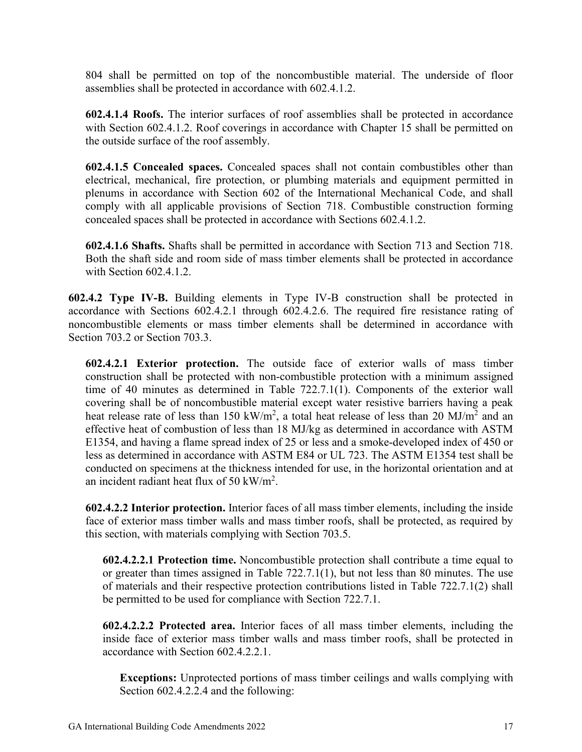804 shall be permitted on top of the noncombustible material. The underside of floor assemblies shall be protected in accordance with 602.4.1.2.

**602.4.1.4 Roofs.** The interior surfaces of roof assemblies shall be protected in accordance with Section 602.4.1.2. Roof coverings in accordance with Chapter 15 shall be permitted on the outside surface of the roof assembly.

**602.4.1.5 Concealed spaces.** Concealed spaces shall not contain combustibles other than electrical, mechanical, fire protection, or plumbing materials and equipment permitted in plenums in accordance with Section 602 of the International Mechanical Code, and shall comply with all applicable provisions of Section 718. Combustible construction forming concealed spaces shall be protected in accordance with Sections 602.4.1.2.

**602.4.1.6 Shafts.** Shafts shall be permitted in accordance with Section 713 and Section 718. Both the shaft side and room side of mass timber elements shall be protected in accordance with Section 602.4.1.2.

**602.4.2 Type IV-B.** Building elements in Type IV-B construction shall be protected in accordance with Sections 602.4.2.1 through 602.4.2.6. The required fire resistance rating of noncombustible elements or mass timber elements shall be determined in accordance with Section 703.2 or Section 703.3.

**602.4.2.1 Exterior protection.** The outside face of exterior walls of mass timber construction shall be protected with non-combustible protection with a minimum assigned time of 40 minutes as determined in Table 722.7.1(1). Components of the exterior wall covering shall be of noncombustible material except water resistive barriers having a peak heat release rate of less than 150 kW/m<sup>2</sup>, a total heat release of less than 20 MJ/m<sup>2</sup> and an effective heat of combustion of less than 18 MJ/kg as determined in accordance with ASTM E1354, and having a flame spread index of 25 or less and a smoke-developed index of 450 or less as determined in accordance with ASTM E84 or UL 723. The ASTM E1354 test shall be conducted on specimens at the thickness intended for use, in the horizontal orientation and at an incident radiant heat flux of 50 kW/m<sup>2</sup>.

**602.4.2.2 Interior protection.** Interior faces of all mass timber elements, including the inside face of exterior mass timber walls and mass timber roofs, shall be protected, as required by this section, with materials complying with Section 703.5.

**602.4.2.2.1 Protection time.** Noncombustible protection shall contribute a time equal to or greater than times assigned in Table  $722.7.1(1)$ , but not less than 80 minutes. The use of materials and their respective protection contributions listed in Table 722.7.1(2) shall be permitted to be used for compliance with Section 722.7.1.

**602.4.2.2.2 Protected area.** Interior faces of all mass timber elements, including the inside face of exterior mass timber walls and mass timber roofs, shall be protected in accordance with Section 602.4.2.2.1.

**Exceptions:** Unprotected portions of mass timber ceilings and walls complying with Section 602.4.2.2.4 and the following: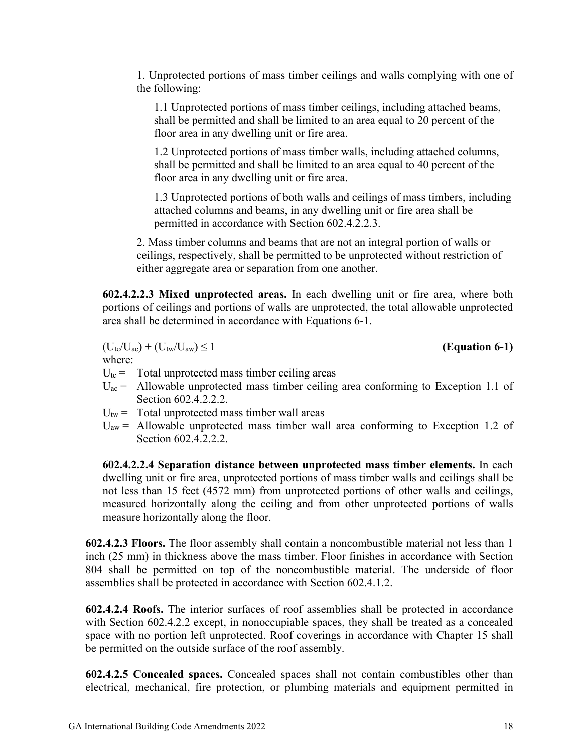1. Unprotected portions of mass timber ceilings and walls complying with one of the following:

1.1 Unprotected portions of mass timber ceilings, including attached beams, shall be permitted and shall be limited to an area equal to 20 percent of the floor area in any dwelling unit or fire area.

1.2 Unprotected portions of mass timber walls, including attached columns, shall be permitted and shall be limited to an area equal to 40 percent of the floor area in any dwelling unit or fire area.

1.3 Unprotected portions of both walls and ceilings of mass timbers, including attached columns and beams, in any dwelling unit or fire area shall be permitted in accordance with Section 602.4.2.2.3.

2. Mass timber columns and beams that are not an integral portion of walls or ceilings, respectively, shall be permitted to be unprotected without restriction of either aggregate area or separation from one another.

**602.4.2.2.3 Mixed unprotected areas.** In each dwelling unit or fire area, where both portions of ceilings and portions of walls are unprotected, the total allowable unprotected area shall be determined in accordance with Equations 6-1.

 $(U_{\text{tc}}/U_{\text{ac}}) + (U_{\text{tw}}/U_{\text{aw}}) \le 1$  (Equation 6-1)

where:

 $U_{\text{tc}}$  = Total unprotected mass timber ceiling areas

- $U_{ac}$  = Allowable unprotected mass timber ceiling area conforming to Exception 1.1 of Section 602.4.2.2.2.
- $U_{tw}$  = Total unprotected mass timber wall areas
- $U_{aw}$  = Allowable unprotected mass timber wall area conforming to Exception 1.2 of Section 602.4.2.2.2.

**602.4.2.2.4 Separation distance between unprotected mass timber elements.** In each dwelling unit or fire area, unprotected portions of mass timber walls and ceilings shall be not less than 15 feet (4572 mm) from unprotected portions of other walls and ceilings, measured horizontally along the ceiling and from other unprotected portions of walls measure horizontally along the floor.

**602.4.2.3 Floors.** The floor assembly shall contain a noncombustible material not less than 1 inch (25 mm) in thickness above the mass timber. Floor finishes in accordance with Section 804 shall be permitted on top of the noncombustible material. The underside of floor assemblies shall be protected in accordance with Section 602.4.1.2.

**602.4.2.4 Roofs.** The interior surfaces of roof assemblies shall be protected in accordance with Section 602.4.2.2 except, in nonoccupiable spaces, they shall be treated as a concealed space with no portion left unprotected. Roof coverings in accordance with Chapter 15 shall be permitted on the outside surface of the roof assembly.

**602.4.2.5 Concealed spaces.** Concealed spaces shall not contain combustibles other than electrical, mechanical, fire protection, or plumbing materials and equipment permitted in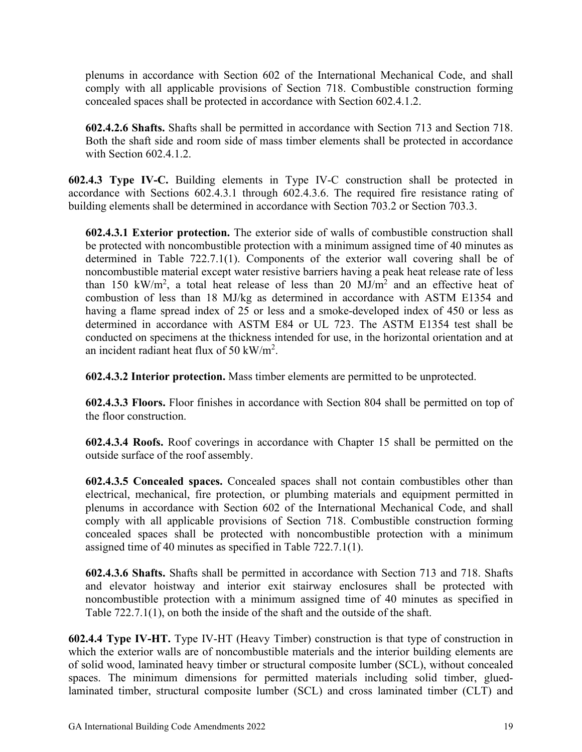plenums in accordance with Section 602 of the International Mechanical Code, and shall comply with all applicable provisions of Section 718. Combustible construction forming concealed spaces shall be protected in accordance with Section 602.4.1.2.

**602.4.2.6 Shafts.** Shafts shall be permitted in accordance with Section 713 and Section 718. Both the shaft side and room side of mass timber elements shall be protected in accordance with Section 602.4.1.2.

**602.4.3 Type IV-C.** Building elements in Type IV-C construction shall be protected in accordance with Sections 602.4.3.1 through 602.4.3.6. The required fire resistance rating of building elements shall be determined in accordance with Section 703.2 or Section 703.3.

**602.4.3.1 Exterior protection.** The exterior side of walls of combustible construction shall be protected with noncombustible protection with a minimum assigned time of 40 minutes as determined in Table 722.7.1(1). Components of the exterior wall covering shall be of noncombustible material except water resistive barriers having a peak heat release rate of less than 150 kW/m<sup>2</sup>, a total heat release of less than 20 MJ/m<sup>2</sup> and an effective heat of combustion of less than 18 MJ/kg as determined in accordance with ASTM E1354 and having a flame spread index of 25 or less and a smoke-developed index of 450 or less as determined in accordance with ASTM E84 or UL 723. The ASTM E1354 test shall be conducted on specimens at the thickness intended for use, in the horizontal orientation and at an incident radiant heat flux of 50 kW/m<sup>2</sup>.

**602.4.3.2 Interior protection.** Mass timber elements are permitted to be unprotected.

**602.4.3.3 Floors.** Floor finishes in accordance with Section 804 shall be permitted on top of the floor construction.

**602.4.3.4 Roofs.** Roof coverings in accordance with Chapter 15 shall be permitted on the outside surface of the roof assembly.

**602.4.3.5 Concealed spaces.** Concealed spaces shall not contain combustibles other than electrical, mechanical, fire protection, or plumbing materials and equipment permitted in plenums in accordance with Section 602 of the International Mechanical Code, and shall comply with all applicable provisions of Section 718. Combustible construction forming concealed spaces shall be protected with noncombustible protection with a minimum assigned time of 40 minutes as specified in Table 722.7.1(1).

**602.4.3.6 Shafts.** Shafts shall be permitted in accordance with Section 713 and 718. Shafts and elevator hoistway and interior exit stairway enclosures shall be protected with noncombustible protection with a minimum assigned time of 40 minutes as specified in Table 722.7.1(1), on both the inside of the shaft and the outside of the shaft.

**602.4.4 Type IV-HT.** Type IV-HT (Heavy Timber) construction is that type of construction in which the exterior walls are of noncombustible materials and the interior building elements are of solid wood, laminated heavy timber or structural composite lumber (SCL), without concealed spaces. The minimum dimensions for permitted materials including solid timber, gluedlaminated timber, structural composite lumber (SCL) and cross laminated timber (CLT) and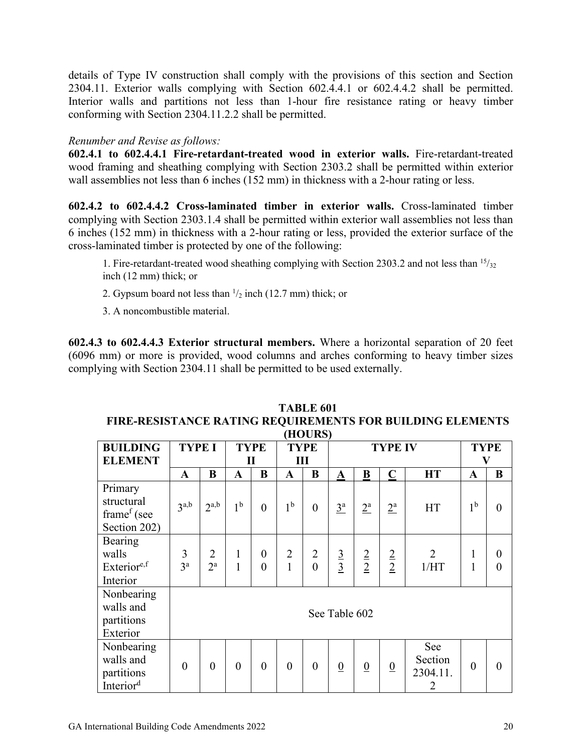details of Type IV construction shall comply with the provisions of this section and Section 2304.11. Exterior walls complying with Section 602.4.4.1 or 602.4.4.2 shall be permitted. Interior walls and partitions not less than 1-hour fire resistance rating or heavy timber conforming with Section 2304.11.2.2 shall be permitted.

#### *Renumber and Revise as follows:*

**602.4.1 to 602.4.4.1 Fire-retardant-treated wood in exterior walls.** Fire-retardant-treated wood framing and sheathing complying with Section 2303.2 shall be permitted within exterior wall assemblies not less than 6 inches (152 mm) in thickness with a 2-hour rating or less.

**602.4.2 to 602.4.4.2 Cross-laminated timber in exterior walls.** Cross-laminated timber complying with Section 2303.1.4 shall be permitted within exterior wall assemblies not less than 6 inches (152 mm) in thickness with a 2-hour rating or less, provided the exterior surface of the cross-laminated timber is protected by one of the following:

1. Fire-retardant-treated wood sheathing complying with Section 2303.2 and not less than  $15/32$ inch (12 mm) thick; or

2. Gypsum board not less than  $\frac{1}{2}$  inch (12.7 mm) thick; or

3. A noncombustible material.

**602.4.3 to 602.4.4.3 Exterior structural members.** Where a horizontal separation of 20 feet (6096 mm) or more is provided, wood columns and arches conforming to heavy timber sizes complying with Section 2304.11 shall be permitted to be used externally.

|                                                                  | (HOURS)             |                                    |                   |                      |                                |                            |                 |                  |                  |                                              |                              |                                      |
|------------------------------------------------------------------|---------------------|------------------------------------|-------------------|----------------------|--------------------------------|----------------------------|-----------------|------------------|------------------|----------------------------------------------|------------------------------|--------------------------------------|
| <b>BUILDING</b>                                                  | <b>TYPE I</b>       |                                    | <b>TYPE</b>       |                      |                                | <b>TYPE</b>                |                 |                  | <b>TYPE IV</b>   |                                              | <b>TYPE</b>                  |                                      |
| <b>ELEMENT</b>                                                   |                     |                                    | $\mathbf{I}$      |                      | Ш                              |                            |                 |                  |                  | $\mathbf V$                                  |                              |                                      |
|                                                                  | A                   | $\bf{B}$                           | A                 | $\bf{B}$             | $\mathbf{A}$                   | B                          | $\mathbf A$     | B                | $\mathbf C$      | <b>HT</b>                                    | A                            | B                                    |
| Primary<br>structural<br>frame <sup>f</sup> (see<br>Section 202) | 3 <sup>a,b</sup>    | $2^{a,b}$                          | 1 <sup>b</sup>    | $\overline{0}$       | 1 <sup>b</sup>                 | $\overline{0}$             | $3^a$           | $2^{\mathrm{a}}$ | $2^{\mathrm{a}}$ | HT                                           | 1 <sup>b</sup>               | $\overline{0}$                       |
| Bearing<br>walls<br>Exterior <sup>e,f</sup><br>Interior          | 3<br>3 <sup>a</sup> | $\overline{2}$<br>$2^{\mathrm{a}}$ | $\mathbf{1}$<br>1 | $\theta$<br>$\theta$ | $\overline{2}$<br>$\mathbf{1}$ | $\overline{2}$<br>$\theta$ | $\frac{3}{3}$   | $\frac{2}{2}$    | $\frac{2}{2}$    | $\overline{2}$<br>1/HT                       | $\mathbf{1}$<br>$\mathbf{1}$ | $\boldsymbol{0}$<br>$\boldsymbol{0}$ |
| Nonbearing<br>walls and<br>partitions<br>Exterior                |                     |                                    |                   | See Table 602        |                                |                            |                 |                  |                  |                                              |                              |                                      |
| Nonbearing<br>walls and<br>partitions<br>Interior <sup>d</sup>   | $\overline{0}$      | $\overline{0}$                     | $\overline{0}$    | $\theta$             | $\boldsymbol{0}$               | $\overline{0}$             | $\underline{0}$ | $\overline{0}$   | $\underline{0}$  | See<br>Section<br>2304.11.<br>$\overline{2}$ | $\overline{0}$               | $\theta$                             |

### **TABLE 601 FIRE-RESISTANCE RATING REQUIREMENTS FOR BUILDING ELEMENTS**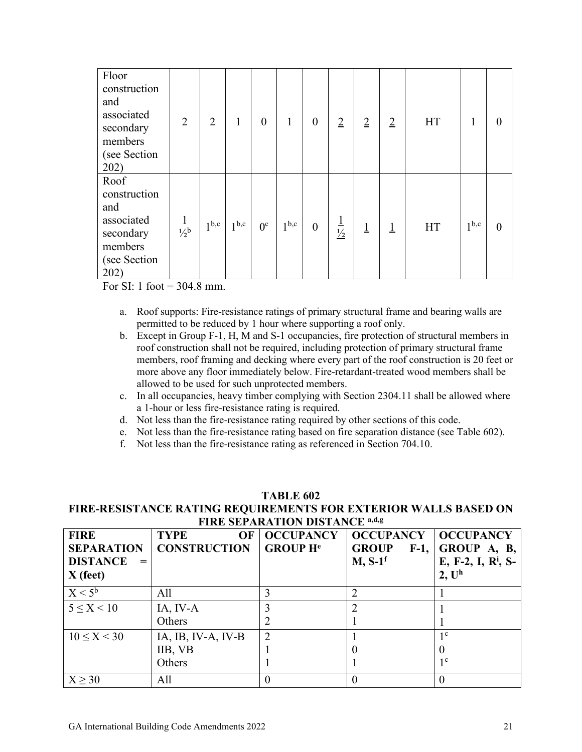| Floor<br>construction<br>and<br>associated<br>secondary<br>members<br>(see Section<br>202) | $\overline{2}$            | $\overline{2}$   | 1                | $\overline{0}$ | 1                | $\overline{0}$ | $\overline{2}$          | $\overline{2}$ | $\overline{2}$ | <b>HT</b> |                  | 0        |
|--------------------------------------------------------------------------------------------|---------------------------|------------------|------------------|----------------|------------------|----------------|-------------------------|----------------|----------------|-----------|------------------|----------|
| Roof<br>construction<br>and<br>associated<br>secondary<br>members<br>(see Section<br>202)  | $\mathbf{1}$<br>$1/2^{b}$ | 1 <sup>b,c</sup> | 1 <sup>b,c</sup> | $0^{\circ}$    | 1 <sup>b,c</sup> | $\mathbf{0}$   | $\frac{1}{\frac{1}{2}}$ | $\overline{1}$ | $\overline{1}$ | <b>HT</b> | 1 <sup>b,c</sup> | $\theta$ |

For SI: 1 foot  $= 304.8$  mm.

- a. Roof supports: Fire-resistance ratings of primary structural frame and bearing walls are permitted to be reduced by 1 hour where supporting a roof only.
- b. Except in Group F-1, H, M and S-1 occupancies, fire protection of structural members in roof construction shall not be required, including protection of primary structural frame members, roof framing and decking where every part of the roof construction is 20 feet or more above any floor immediately below. Fire-retardant-treated wood members shall be allowed to be used for such unprotected members.
- c. In all occupancies, heavy timber complying with Section 2304.11 shall be allowed where a 1-hour or less fire-resistance rating is required.
- d. Not less than the fire-resistance rating required by other sections of this code.
- e. Not less than the fire-resistance rating based on fire separation distance (see Table 602).
- f. Not less than the fire-resistance rating as referenced in Section 704.10.

#### **TABLE 602 FIRE-RESISTANCE RATING REQUIREMENTS FOR EXTERIOR WALLS BASED ON FIRE SEPARATION DISTANCE a,d,g**

| <b>FIRE</b><br><b>SEPARATION</b><br><b>DISTANCE</b><br>$=$<br>$X$ (feet) | <b>TYPE</b><br>OF<br><b>CONSTRUCTION</b> | <b>OCCUPANCY</b><br><b>GROUP He</b> | <b>OCCUPANCY</b><br><b>GROUP</b><br>$F-1$ ,<br>$M, S-1$ <sup>f</sup> | <b>OCCUPANCY</b><br>GROUP A, B,<br>E, F-2, I, R <sup>i</sup> , S-<br>2, U <sup>h</sup> |
|--------------------------------------------------------------------------|------------------------------------------|-------------------------------------|----------------------------------------------------------------------|----------------------------------------------------------------------------------------|
| $X < 5^b$                                                                | All                                      |                                     |                                                                      |                                                                                        |
| $5 \le X \le 10$                                                         | IA, IV-A                                 |                                     |                                                                      |                                                                                        |
|                                                                          | Others                                   |                                     |                                                                      |                                                                                        |
| $10 \le X < 30$                                                          | IA, IB, IV-A, IV-B                       | $\overline{2}$                      |                                                                      | 1 <sup>c</sup>                                                                         |
|                                                                          | IIB, VB                                  |                                     |                                                                      |                                                                                        |
|                                                                          | Others                                   |                                     |                                                                      | $1^{\circ}$                                                                            |
| X > 30                                                                   | All                                      |                                     |                                                                      |                                                                                        |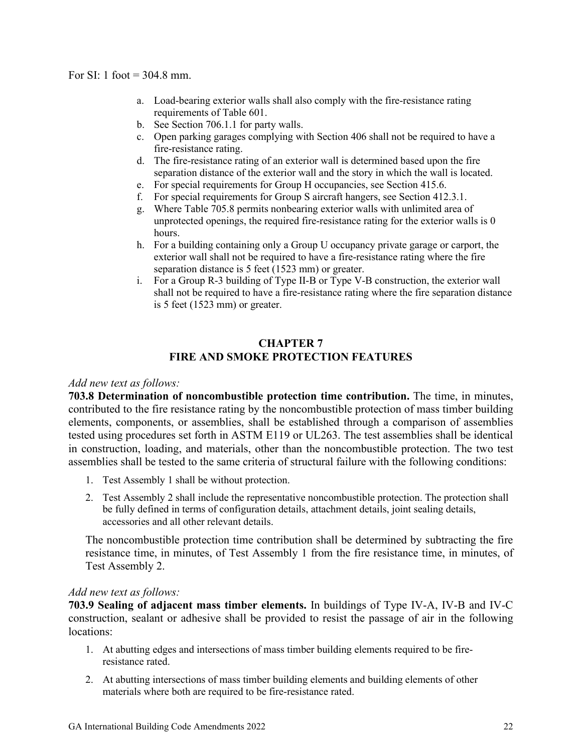- a. Load-bearing exterior walls shall also comply with the fire-resistance rating requirements of Table 601.
- b. See Section 706.1.1 for party walls.
- c. Open parking garages complying with Section 406 shall not be required to have a fire-resistance rating.
- d. The fire-resistance rating of an exterior wall is determined based upon the fire separation distance of the exterior wall and the story in which the wall is located.
- e. For special requirements for Group H occupancies, see Section 415.6.
- f. For special requirements for Group S aircraft hangers, see Section 412.3.1.
- g. Where Table 705.8 permits nonbearing exterior walls with unlimited area of unprotected openings, the required fire-resistance rating for the exterior walls is  $\theta$ hours.
- h. For a building containing only a Group U occupancy private garage or carport, the exterior wall shall not be required to have a fire-resistance rating where the fire separation distance is 5 feet (1523 mm) or greater.
- i. For a Group R-3 building of Type II-B or Type V-B construction, the exterior wall shall not be required to have a fire-resistance rating where the fire separation distance is 5 feet (1523 mm) or greater.

#### **CHAPTER 7 FIRE AND SMOKE PROTECTION FEATURES**

#### *Add new text as follows:*

**703.8 Determination of noncombustible protection time contribution.** The time, in minutes, contributed to the fire resistance rating by the noncombustible protection of mass timber building elements, components, or assemblies, shall be established through a comparison of assemblies tested using procedures set forth in ASTM E119 or UL263. The test assemblies shall be identical in construction, loading, and materials, other than the noncombustible protection. The two test assemblies shall be tested to the same criteria of structural failure with the following conditions:

- 1. Test Assembly 1 shall be without protection.
- 2. Test Assembly 2 shall include the representative noncombustible protection. The protection shall be fully defined in terms of configuration details, attachment details, joint sealing details, accessories and all other relevant details.

The noncombustible protection time contribution shall be determined by subtracting the fire resistance time, in minutes, of Test Assembly 1 from the fire resistance time, in minutes, of Test Assembly 2.

#### *Add new text as follows:*

**703.9 Sealing of adjacent mass timber elements.** In buildings of Type IV-A, IV-B and IV-C construction, sealant or adhesive shall be provided to resist the passage of air in the following locations:

- 1. At abutting edges and intersections of mass timber building elements required to be fireresistance rated.
- 2. At abutting intersections of mass timber building elements and building elements of other materials where both are required to be fire-resistance rated.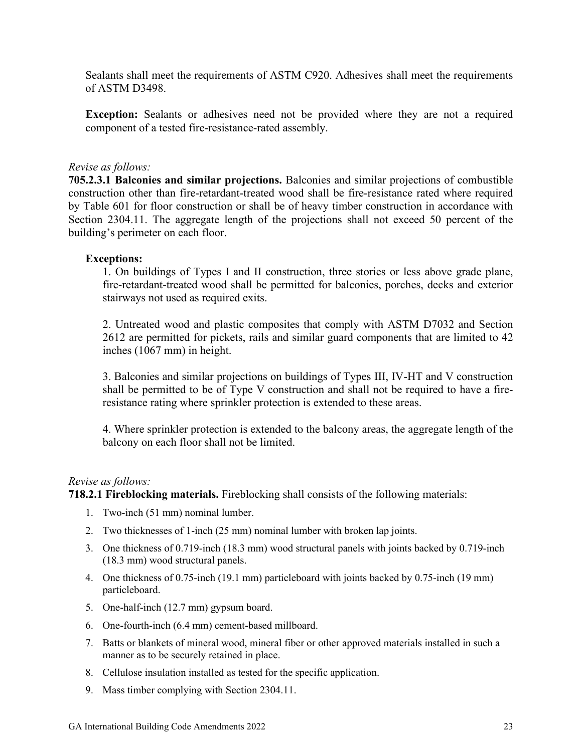Sealants shall meet the requirements of ASTM C920. Adhesives shall meet the requirements of ASTM D3498.

**Exception:** Sealants or adhesives need not be provided where they are not a required component of a tested fire-resistance-rated assembly.

#### *Revise as follows:*

**705.2.3.1 Balconies and similar projections.** Balconies and similar projections of combustible construction other than fire-retardant-treated wood shall be fire-resistance rated where required by Table 601 for floor construction or shall be of heavy timber construction in accordance with Section 2304.11. The aggregate length of the projections shall not exceed 50 percent of the building's perimeter on each floor.

#### **Exceptions:**

1. On buildings of Types I and II construction, three stories or less above grade plane, fire-retardant-treated wood shall be permitted for balconies, porches, decks and exterior stairways not used as required exits.

2. Untreated wood and plastic composites that comply with ASTM D7032 and Section 2612 are permitted for pickets, rails and similar guard components that are limited to 42 inches (1067 mm) in height.

3. Balconies and similar projections on buildings of Types III, IV-HT and V construction shall be permitted to be of Type V construction and shall not be required to have a fireresistance rating where sprinkler protection is extended to these areas.

4. Where sprinkler protection is extended to the balcony areas, the aggregate length of the balcony on each floor shall not be limited.

#### *Revise as follows:*

**718.2.1 Fireblocking materials.** Fireblocking shall consists of the following materials:

- 1. Two-inch (51 mm) nominal lumber.
- 2. Two thicknesses of 1-inch (25 mm) nominal lumber with broken lap joints.
- 3. One thickness of 0.719-inch (18.3 mm) wood structural panels with joints backed by 0.719-inch (18.3 mm) wood structural panels.
- 4. One thickness of 0.75-inch (19.1 mm) particleboard with joints backed by 0.75-inch (19 mm) particleboard.
- 5. One-half-inch (12.7 mm) gypsum board.
- 6. One-fourth-inch (6.4 mm) cement-based millboard.
- 7. Batts or blankets of mineral wood, mineral fiber or other approved materials installed in such a manner as to be securely retained in place.
- 8. Cellulose insulation installed as tested for the specific application.
- 9. Mass timber complying with Section 2304.11.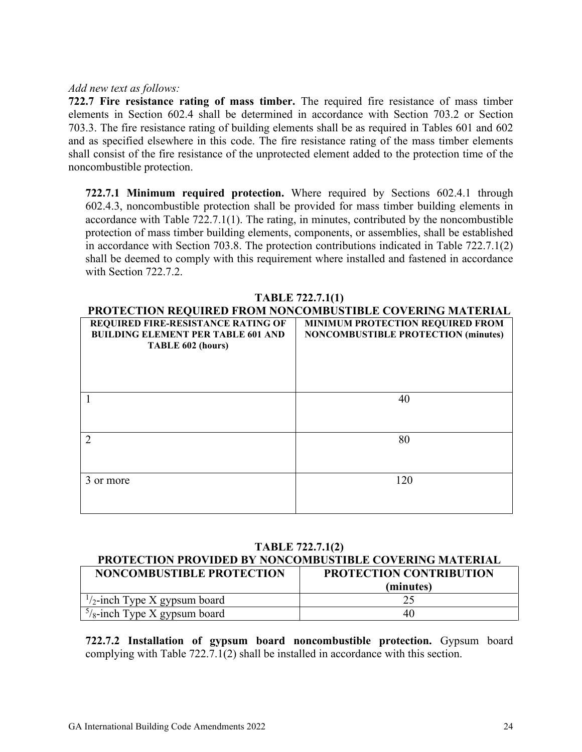#### *Add new text as follows:*

**722.7 Fire resistance rating of mass timber.** The required fire resistance of mass timber elements in Section 602.4 shall be determined in accordance with Section 703.2 or Section 703.3. The fire resistance rating of building elements shall be as required in Tables 601 and 602 and as specified elsewhere in this code. The fire resistance rating of the mass timber elements shall consist of the fire resistance of the unprotected element added to the protection time of the noncombustible protection.

**722.7.1 Minimum required protection.** Where required by Sections 602.4.1 through 602.4.3, noncombustible protection shall be provided for mass timber building elements in accordance with Table 722.7.1(1). The rating, in minutes, contributed by the noncombustible protection of mass timber building elements, components, or assemblies, shall be established in accordance with Section 703.8. The protection contributions indicated in Table 722.7.1(2) shall be deemed to comply with this requirement where installed and fastened in accordance with Section 722.7.2.

| <b>TADLE</b> $122.1.1(1)$                                 |                                            |  |  |  |  |
|-----------------------------------------------------------|--------------------------------------------|--|--|--|--|
| PROTECTION REQUIRED FROM NONCOMBUSTIBLE COVERING MATERIAL |                                            |  |  |  |  |
| REQUIRED FIRE-RESISTANCE RATING OF                        | <b>MINIMUM PROTECTION REQUIRED FROM</b>    |  |  |  |  |
| <b>BUILDING ELEMENT PER TABLE 601 AND</b>                 | <b>NONCOMBUSTIBLE PROTECTION (minutes)</b> |  |  |  |  |
| TABLE 602 (hours)                                         |                                            |  |  |  |  |
|                                                           |                                            |  |  |  |  |
|                                                           |                                            |  |  |  |  |
|                                                           |                                            |  |  |  |  |
|                                                           |                                            |  |  |  |  |
|                                                           | 40                                         |  |  |  |  |
|                                                           |                                            |  |  |  |  |
|                                                           |                                            |  |  |  |  |
|                                                           | 80                                         |  |  |  |  |
|                                                           |                                            |  |  |  |  |
|                                                           |                                            |  |  |  |  |
|                                                           |                                            |  |  |  |  |
| 3 or more                                                 | 120                                        |  |  |  |  |
|                                                           |                                            |  |  |  |  |
|                                                           |                                            |  |  |  |  |

#### **TABLE 722.7.1(1)**

#### **TABLE 722.7.1(2)**

#### **PROTECTION PROVIDED BY NONCOMBUSTIBLE COVERING MATERIAL**

| <b>NONCOMBUSTIBLE PROTECTION</b>        | <b>PROTECTION CONTRIBUTION</b> |  |  |
|-----------------------------------------|--------------------------------|--|--|
|                                         | (minutes)                      |  |  |
| $\frac{1}{2}$ -inch Type X gypsum board |                                |  |  |
| $\frac{5}{8}$ -inch Type X gypsum board | 40                             |  |  |

**722.7.2 Installation of gypsum board noncombustible protection.** Gypsum board complying with Table 722.7.1(2) shall be installed in accordance with this section.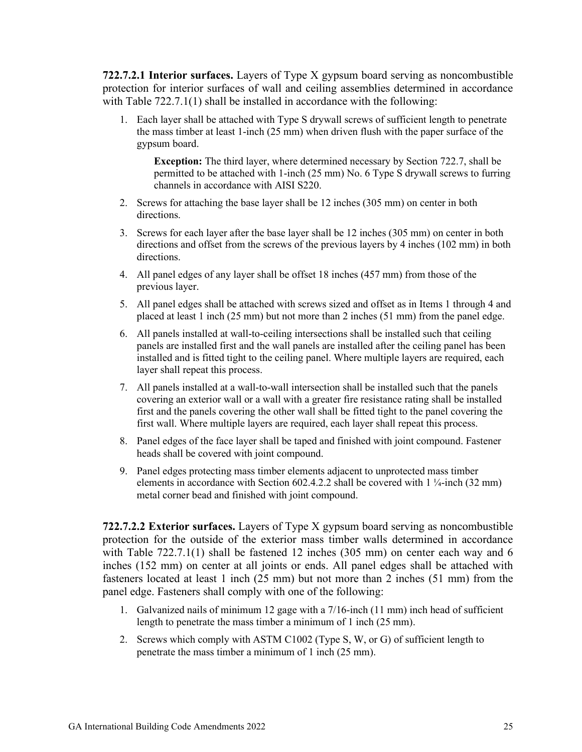**722.7.2.1 Interior surfaces.** Layers of Type X gypsum board serving as noncombustible protection for interior surfaces of wall and ceiling assemblies determined in accordance with Table 722.7.1(1) shall be installed in accordance with the following:

1. Each layer shall be attached with Type S drywall screws of sufficient length to penetrate the mass timber at least 1-inch (25 mm) when driven flush with the paper surface of the gypsum board.

**Exception:** The third layer, where determined necessary by Section 722.7, shall be permitted to be attached with 1-inch (25 mm) No. 6 Type S drywall screws to furring channels in accordance with AISI S220.

- 2. Screws for attaching the base layer shall be 12 inches (305 mm) on center in both directions.
- 3. Screws for each layer after the base layer shall be 12 inches (305 mm) on center in both directions and offset from the screws of the previous layers by 4 inches (102 mm) in both directions.
- 4. All panel edges of any layer shall be offset 18 inches (457 mm) from those of the previous layer.
- 5. All panel edges shall be attached with screws sized and offset as in Items 1 through 4 and placed at least 1 inch (25 mm) but not more than 2 inches (51 mm) from the panel edge.
- 6. All panels installed at wall-to-ceiling intersections shall be installed such that ceiling panels are installed first and the wall panels are installed after the ceiling panel has been installed and is fitted tight to the ceiling panel. Where multiple layers are required, each layer shall repeat this process.
- 7. All panels installed at a wall-to-wall intersection shall be installed such that the panels covering an exterior wall or a wall with a greater fire resistance rating shall be installed first and the panels covering the other wall shall be fitted tight to the panel covering the first wall. Where multiple layers are required, each layer shall repeat this process.
- 8. Panel edges of the face layer shall be taped and finished with joint compound. Fastener heads shall be covered with joint compound.
- 9. Panel edges protecting mass timber elements adjacent to unprotected mass timber elements in accordance with Section 602.4.2.2 shall be covered with 1 ¼-inch (32 mm) metal corner bead and finished with joint compound.

**722.7.2.2 Exterior surfaces.** Layers of Type X gypsum board serving as noncombustible protection for the outside of the exterior mass timber walls determined in accordance with Table 722.7.1(1) shall be fastened 12 inches (305 mm) on center each way and 6 inches (152 mm) on center at all joints or ends. All panel edges shall be attached with fasteners located at least 1 inch (25 mm) but not more than 2 inches (51 mm) from the panel edge. Fasteners shall comply with one of the following:

- 1. Galvanized nails of minimum 12 gage with a 7/16-inch (11 mm) inch head of sufficient length to penetrate the mass timber a minimum of 1 inch (25 mm).
- 2. Screws which comply with ASTM C1002 (Type S, W, or G) of sufficient length to penetrate the mass timber a minimum of 1 inch (25 mm).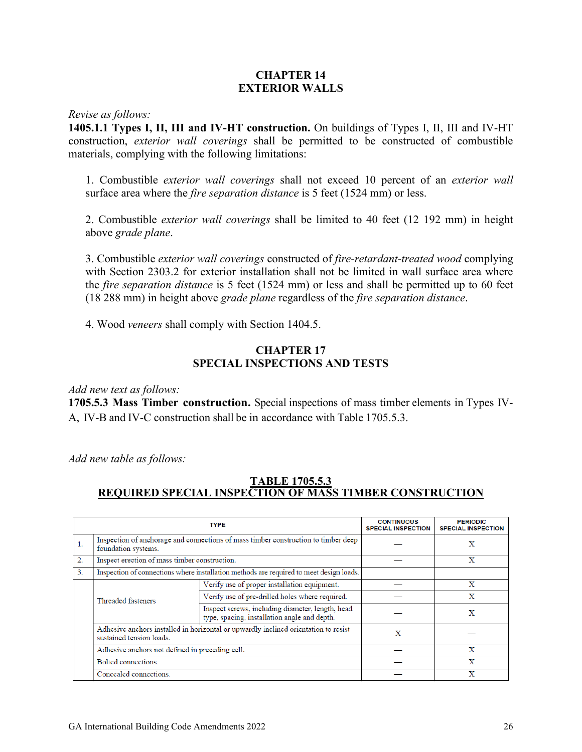#### **CHAPTER 14 EXTERIOR WALLS**

*Revise as follows:*

**1405.1.1 Types I, II, III and IV-HT construction.** On buildings of Types I, II, III and IV-HT construction, *exterior wall coverings* shall be permitted to be constructed of combustible materials, complying with the following limitations:

1. Combustible *exterior wall coverings* shall not exceed 10 percent of an *exterior wall*  surface area where the *fire separation distance* is 5 feet (1524 mm) or less.

2. Combustible *exterior wall coverings* shall be limited to 40 feet (12 192 mm) in height above *grade plane*.

3. Combustible *exterior wall coverings* constructed of *fire-retardant-treated wood* complying with Section 2303.2 for exterior installation shall not be limited in wall surface area where the *fire separation distance* is 5 feet (1524 mm) or less and shall be permitted up to 60 feet (18 288 mm) in height above *grade plane* regardless of the *fire separation distance*.

4. Wood *veneers* shall comply with Section 1404.5.

#### **CHAPTER 17 SPECIAL INSPECTIONS AND TESTS**

*Add new text as follows:*

**1705.5.3 Mass Timber construction.** Special inspections of mass timber elements in Types IV-A, IV-B and IV-C construction shall be in accordance with Table 1705.5.3.

*Add new table as follows:*

#### **TABLE 1705.5.3 REQUIRED SPECIAL INSPECTION OF MASS TIMBER CONSTRUCTION**

|    |                                                                                                                 | <b>CONTINUOUS</b><br><b>SPECIAL INSPECTION</b>                                                   | <b>PERIODIC</b><br><b>SPECIAL INSPECTION</b> |   |
|----|-----------------------------------------------------------------------------------------------------------------|--------------------------------------------------------------------------------------------------|----------------------------------------------|---|
| 1. | Inspection of anchorage and connections of mass timber construction to timber deep<br>foundation systems.       |                                                                                                  | X                                            |   |
| 2. | Inspect erection of mass timber construction.                                                                   |                                                                                                  | X                                            |   |
| 3. | Inspection of connections where installation methods are required to meet design loads.                         |                                                                                                  |                                              |   |
|    |                                                                                                                 | Verify use of proper installation equipment.                                                     |                                              | X |
|    | Threaded fasteners                                                                                              | Verify use of pre-drilled holes where required.                                                  |                                              | x |
|    |                                                                                                                 | Inspect screws, including diameter, length, head<br>type, spacing, installation angle and depth. |                                              | X |
|    | Adhesive anchors installed in horizontal or upwardly inclined orientation to resist<br>sustained tension loads. | X                                                                                                |                                              |   |
|    | Adhesive anchors not defined in preceding cell.                                                                 |                                                                                                  | X                                            |   |
|    | Bolted connections.                                                                                             |                                                                                                  | X                                            |   |
|    | Concealed connections.                                                                                          |                                                                                                  | x                                            |   |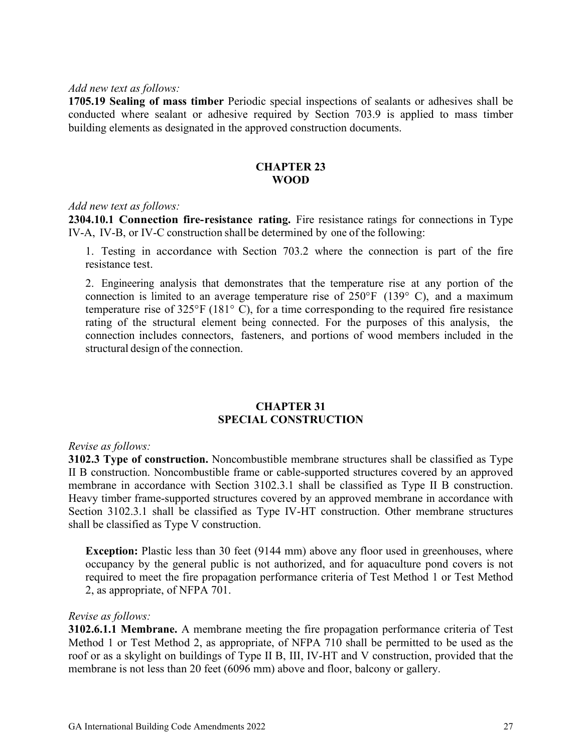#### *Add new text as follows:*

**1705.19 Sealing of mass timber** Periodic special inspections of sealants or adhesives shall be conducted where sealant or adhesive required by Section 703.9 is applied to mass timber building elements as designated in the approved construction documents.

#### **CHAPTER 23 WOOD**

#### *Add new text as follows:*

**2304.10.1 Connection fire-resistance rating.** Fire resistance ratings for connections in Type IV-A, IV-B, or IV-C construction shall be determined by one of the following:

1. Testing in accordance with Section 703.2 where the connection is part of the fire resistance test.

2. Engineering analysis that demonstrates that the temperature rise at any portion of the connection is limited to an average temperature rise of  $250^{\circ}F$  (139 $^{\circ}$  C), and a maximum temperature rise of  $325^{\circ}F(181^{\circ}C)$ , for a time corresponding to the required fire resistance rating of the structural element being connected. For the purposes of this analysis, the connection includes connectors, fasteners, and portions of wood members included in the structural design of the connection.

#### **CHAPTER 31 SPECIAL CONSTRUCTION**

#### *Revise as follows:*

**3102.3 Type of construction.** Noncombustible membrane structures shall be classified as Type II B construction. Noncombustible frame or cable-supported structures covered by an approved membrane in accordance with Section 3102.3.1 shall be classified as Type II B construction. Heavy timber frame-supported structures covered by an approved membrane in accordance with Section 3102.3.1 shall be classified as Type IV-HT construction. Other membrane structures shall be classified as Type V construction.

**Exception:** Plastic less than 30 feet (9144 mm) above any floor used in greenhouses, where occupancy by the general public is not authorized, and for aquaculture pond covers is not required to meet the fire propagation performance criteria of Test Method 1 or Test Method 2, as appropriate, of NFPA 701.

#### *Revise as follows:*

**3102.6.1.1 Membrane.** A membrane meeting the fire propagation performance criteria of Test Method 1 or Test Method 2, as appropriate, of NFPA 710 shall be permitted to be used as the roof or as a skylight on buildings of Type II B, III, IV-HT and V construction, provided that the membrane is not less than 20 feet (6096 mm) above and floor, balcony or gallery.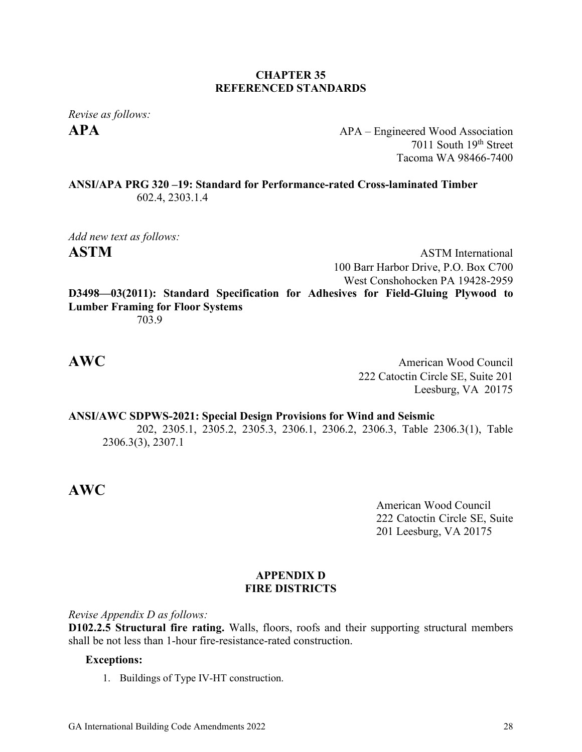#### **CHAPTER 35 REFERENCED STANDARDS**

*Revise as follows:*

**APA** APA – Engineered Wood Association 7011 South 19th Street Tacoma WA 98466-7400

**ANSI/APA PRG 320 –19: Standard for Performance-rated Cross-laminated Timber** 602.4, 2303.1.4

*Add new text as follows:* **ASTM** ASTM International

100 Barr Harbor Drive, P.O. Box C700 West Conshohocken PA 19428-2959 **D3498—03(2011): Standard Specification for Adhesives for Field-Gluing Plywood to Lumber Framing for Floor Systems**

703.9

**AWC** American Wood Council 222 Catoctin Circle SE, Suite 201 Leesburg, VA 20175

**ANSI/AWC SDPWS-2021: Special Design Provisions for Wind and Seismic** 202, 2305.1, 2305.2, 2305.3, 2306.1, 2306.2, 2306.3, Table 2306.3(1), Table 2306.3(3), 2307.1

### **AWC**

American Wood Council 222 Catoctin Circle SE, Suite 201 Leesburg, VA 20175

#### **APPENDIX D FIRE DISTRICTS**

*Revise Appendix D as follows:*

**D102.2.5 Structural fire rating.** Walls, floors, roofs and their supporting structural members shall be not less than 1-hour fire-resistance-rated construction.

#### **Exceptions:**

1. Buildings of Type IV-HT construction.